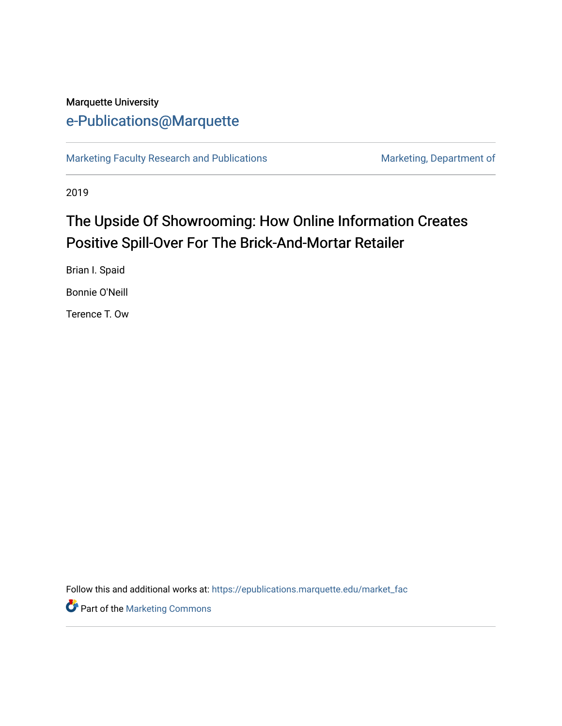## Marquette University [e-Publications@Marquette](https://epublications.marquette.edu/)

[Marketing Faculty Research and Publications](https://epublications.marquette.edu/market_fac) Marketing, Department of

2019

# The Upside Of Showrooming: How Online Information Creates Positive Spill-Over For The Brick-And-Mortar Retailer

Brian I. Spaid

Bonnie O'Neill

Terence T. Ow

Follow this and additional works at: [https://epublications.marquette.edu/market\\_fac](https://epublications.marquette.edu/market_fac?utm_source=epublications.marquette.edu%2Fmarket_fac%2F296&utm_medium=PDF&utm_campaign=PDFCoverPages)

Part of the [Marketing Commons](http://network.bepress.com/hgg/discipline/638?utm_source=epublications.marquette.edu%2Fmarket_fac%2F296&utm_medium=PDF&utm_campaign=PDFCoverPages)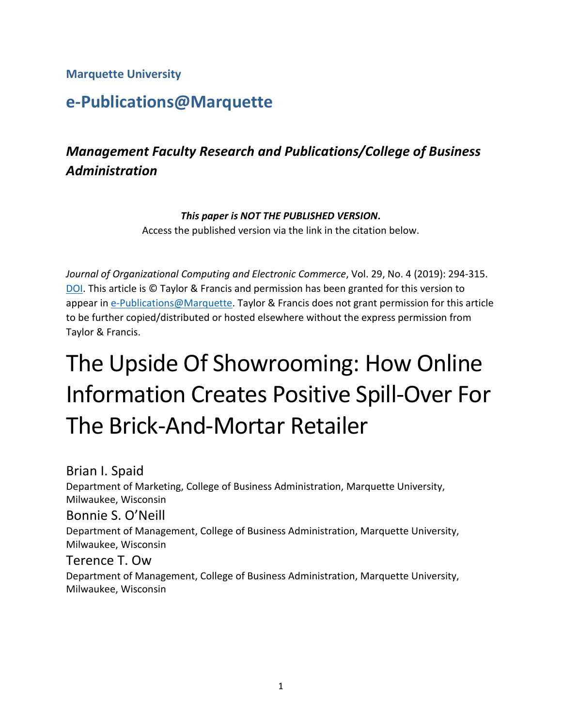**Marquette University**

# **e-Publications@Marquette**

# *Management Faculty Research and Publications/College of Business Administration*

### *This paper is NOT THE PUBLISHED VERSION***.**

Access the published version via the link in the citation below.

*Journal of Organizational Computing and Electronic Commerce*, Vol. 29, No. 4 (2019): 294-315. [DOI.](https://doi.org/10.1080/10919392.2019.1671738) This article is © Taylor & Francis and permission has been granted for this version to appear i[n e-Publications@Marquette.](http://epublications.marquette.edu/) Taylor & Francis does not grant permission for this article to be further copied/distributed or hosted elsewhere without the express permission from Taylor & Francis.

# The Upside Of Showrooming: How Online Information Creates Positive Spill-Over For The Brick-And-Mortar Retailer

Brian I. Spaid Department of Marketing, College of Business Administration, Marquette University, Milwaukee, Wisconsin Bonnie S. O'Neill

Department of Management, College of Business Administration, Marquette University, Milwaukee, Wisconsin

### Terence T. Ow

Department of Management, College of Business Administration, Marquette University, Milwaukee, Wisconsin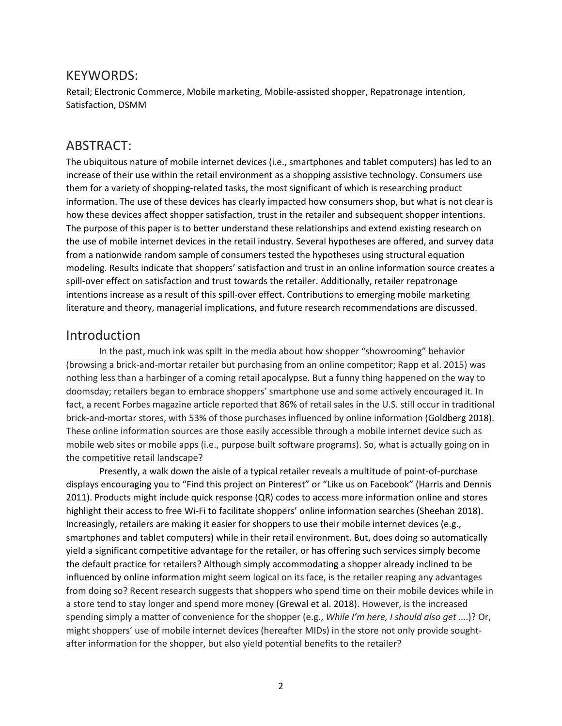### KEYWORDS:

Retail; Electronic Commerce, Mobile marketing, Mobile-assisted shopper, Repatronage intention, Satisfaction, DSMM

### ABSTRACT:

The ubiquitous nature of mobile internet devices (i.e., smartphones and tablet computers) has led to an increase of their use within the retail environment as a shopping assistive technology. Consumers use them for a variety of shopping-related tasks, the most significant of which is researching product information. The use of these devices has clearly impacted how consumers shop, but what is not clear is how these devices affect shopper satisfaction, trust in the retailer and subsequent shopper intentions. The purpose of this paper is to better understand these relationships and extend existing research on the use of mobile internet devices in the retail industry. Several hypotheses are offered, and survey data from a nationwide random sample of consumers tested the hypotheses using structural equation modeling. Results indicate that shoppers' satisfaction and trust in an online information source creates a spill-over effect on satisfaction and trust towards the retailer. Additionally, retailer repatronage intentions increase as a result of this spill-over effect. Contributions to emerging mobile marketing literature and theory, managerial implications, and future research recommendations are discussed.

### Introduction

In the past, much ink was spilt in the media about how shopper "showrooming" behavior (browsing a brick-and-mortar retailer but purchasing from an online competitor; Rapp et al. 2015) was nothing less than a harbinger of a coming retail apocalypse. But a funny thing happened on the way to doomsday; retailers began to embrace shoppers' smartphone use and some actively encouraged it. In fact, a recent Forbes magazine article reported that 86% of retail sales in the U.S. still occur in traditional brick-and-mortar stores, with 53% of those purchases influenced by online information (Goldberg 2018). These online information sources are those easily accessible through a mobile internet device such as mobile web sites or mobile apps (i.e., purpose built software programs). So, what is actually going on in the competitive retail landscape?

Presently, a walk down the aisle of a typical retailer reveals a multitude of point-of-purchase displays encouraging you to "Find this project on Pinterest" or "Like us on Facebook" (Harris and Dennis 2011). Products might include quick response (QR) codes to access more information online and stores highlight their access to free Wi-Fi to facilitate shoppers' online information searches (Sheehan 2018). Increasingly, retailers are making it easier for shoppers to use their mobile internet devices (e.g., smartphones and tablet computers) while in their retail environment. But, does doing so automatically yield a significant competitive advantage for the retailer, or has offering such services simply become the default practice for retailers? Although simply accommodating a shopper already inclined to be influenced by online information might seem logical on its face, is the retailer reaping any advantages from doing so? Recent research suggests that shoppers who spend time on their mobile devices while in a store tend to stay longer and spend more money (Grewal et al. 2018). However, is the increased spending simply a matter of convenience for the shopper (e.g., *While I'm here, I should also get* ….)? Or, might shoppers' use of mobile internet devices (hereafter MIDs) in the store not only provide soughtafter information for the shopper, but also yield potential benefits to the retailer?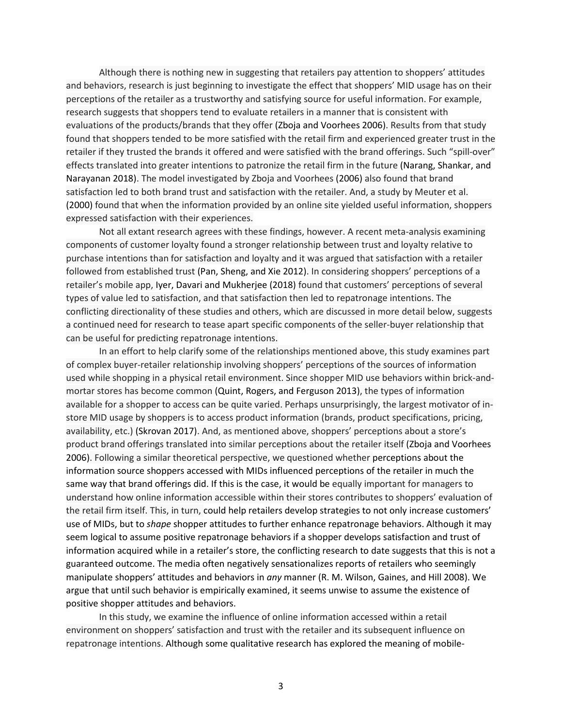Although there is nothing new in suggesting that retailers pay attention to shoppers' attitudes and behaviors, research is just beginning to investigate the effect that shoppers' MID usage has on their perceptions of the retailer as a trustworthy and satisfying source for useful information. For example, research suggests that shoppers tend to evaluate retailers in a manner that is consistent with evaluations of the products/brands that they offer (Zboja and Voorhees 2006). Results from that study found that shoppers tended to be more satisfied with the retail firm and experienced greater trust in the retailer if they trusted the brands it offered and were satisfied with the brand offerings. Such "spill-over" effects translated into greater intentions to patronize the retail firm in the future (Narang, Shankar, and Narayanan 2018). The model investigated by Zboja and Voorhees (2006) also found that brand satisfaction led to both brand trust and satisfaction with the retailer. And, a study by Meuter et al. (2000) found that when the information provided by an online site yielded useful information, shoppers expressed satisfaction with their experiences.

Not all extant research agrees with these findings, however. A recent meta-analysis examining components of customer loyalty found a stronger relationship between trust and loyalty relative to purchase intentions than for satisfaction and loyalty and it was argued that satisfaction with a retailer followed from established trust (Pan, Sheng, and Xie 2012). In considering shoppers' perceptions of a retailer's mobile app, Iyer, Davari and Mukherjee (2018) found that customers' perceptions of several types of value led to satisfaction, and that satisfaction then led to repatronage intentions. The conflicting directionality of these studies and others, which are discussed in more detail below, suggests a continued need for research to tease apart specific components of the seller-buyer relationship that can be useful for predicting repatronage intentions.

In an effort to help clarify some of the relationships mentioned above, this study examines part of complex buyer-retailer relationship involving shoppers' perceptions of the sources of information used while shopping in a physical retail environment. Since shopper MID use behaviors within brick-andmortar stores has become common (Quint, Rogers, and Ferguson 2013), the types of information available for a shopper to access can be quite varied. Perhaps unsurprisingly, the largest motivator of instore MID usage by shoppers is to access product information (brands, product specifications, pricing, availability, etc.) (Skrovan 2017). And, as mentioned above, shoppers' perceptions about a store's product brand offerings translated into similar perceptions about the retailer itself (Zboja and Voorhees 2006). Following a similar theoretical perspective, we questioned whether perceptions about the information source shoppers accessed with MIDs influenced perceptions of the retailer in much the same way that brand offerings did. If this is the case, it would be equally important for managers to understand how online information accessible within their stores contributes to shoppers' evaluation of the retail firm itself. This, in turn, could help retailers develop strategies to not only increase customers' use of MIDs, but to *shape* shopper attitudes to further enhance repatronage behaviors. Although it may seem logical to assume positive repatronage behaviors if a shopper develops satisfaction and trust of information acquired while in a retailer's store, the conflicting research to date suggests that this is not a guaranteed outcome. The media often negatively sensationalizes reports of retailers who seemingly manipulate shoppers' attitudes and behaviors in *any* manner (R. M. Wilson, Gaines, and Hill 2008). We argue that until such behavior is empirically examined, it seems unwise to assume the existence of positive shopper attitudes and behaviors.

In this study, we examine the influence of online information accessed within a retail environment on shoppers' satisfaction and trust with the retailer and its subsequent influence on repatronage intentions. Although some qualitative research has explored the meaning of mobile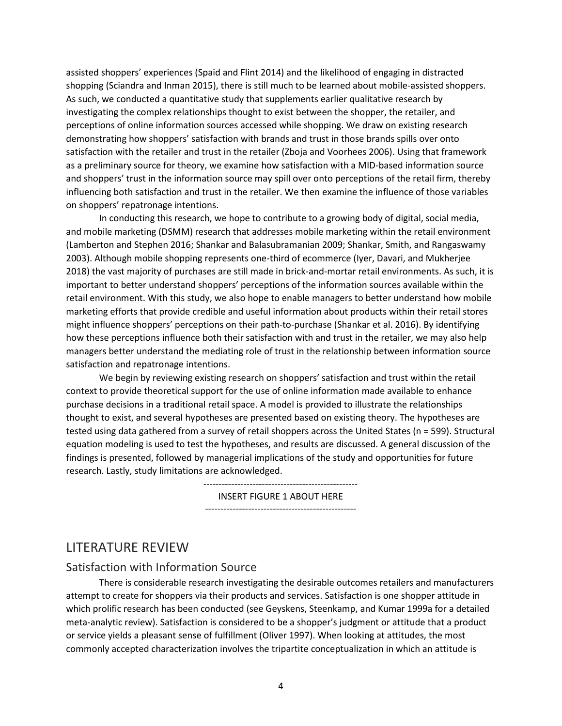assisted shoppers' experiences (Spaid and Flint 2014) and the likelihood of engaging in distracted shopping (Sciandra and Inman 2015), there is still much to be learned about mobile-assisted shoppers. As such, we conducted a quantitative study that supplements earlier qualitative research by investigating the complex relationships thought to exist between the shopper, the retailer, and perceptions of online information sources accessed while shopping. We draw on existing research demonstrating how shoppers' satisfaction with brands and trust in those brands spills over onto satisfaction with the retailer and trust in the retailer (Zboja and Voorhees 2006). Using that framework as a preliminary source for theory, we examine how satisfaction with a MID-based information source and shoppers' trust in the information source may spill over onto perceptions of the retail firm, thereby influencing both satisfaction and trust in the retailer. We then examine the influence of those variables on shoppers' repatronage intentions.

In conducting this research, we hope to contribute to a growing body of digital, social media, and mobile marketing (DSMM) research that addresses mobile marketing within the retail environment (Lamberton and Stephen 2016; Shankar and Balasubramanian 2009; Shankar, Smith, and Rangaswamy 2003). Although mobile shopping represents one-third of ecommerce (Iyer, Davari, and Mukherjee 2018) the vast majority of purchases are still made in brick-and-mortar retail environments. As such, it is important to better understand shoppers' perceptions of the information sources available within the retail environment. With this study, we also hope to enable managers to better understand how mobile marketing efforts that provide credible and useful information about products within their retail stores might influence shoppers' perceptions on their path-to-purchase (Shankar et al. 2016). By identifying how these perceptions influence both their satisfaction with and trust in the retailer, we may also help managers better understand the mediating role of trust in the relationship between information source satisfaction and repatronage intentions.

We begin by reviewing existing research on shoppers' satisfaction and trust within the retail context to provide theoretical support for the use of online information made available to enhance purchase decisions in a traditional retail space. A model is provided to illustrate the relationships thought to exist, and several hypotheses are presented based on existing theory. The hypotheses are tested using data gathered from a survey of retail shoppers across the United States (n = 599). Structural equation modeling is used to test the hypotheses, and results are discussed. A general discussion of the findings is presented, followed by managerial implications of the study and opportunities for future research. Lastly, study limitations are acknowledged.

> -------------------------------------------------- INSERT FIGURE 1 ABOUT HERE -------------------------------------------------

### LITERATURE REVIEW

### Satisfaction with Information Source

There is considerable research investigating the desirable outcomes retailers and manufacturers attempt to create for shoppers via their products and services. Satisfaction is one shopper attitude in which prolific research has been conducted (see Geyskens, Steenkamp, and Kumar 1999a for a detailed meta-analytic review). Satisfaction is considered to be a shopper's judgment or attitude that a product or service yields a pleasant sense of fulfillment (Oliver 1997). When looking at attitudes, the most commonly accepted characterization involves the tripartite conceptualization in which an attitude is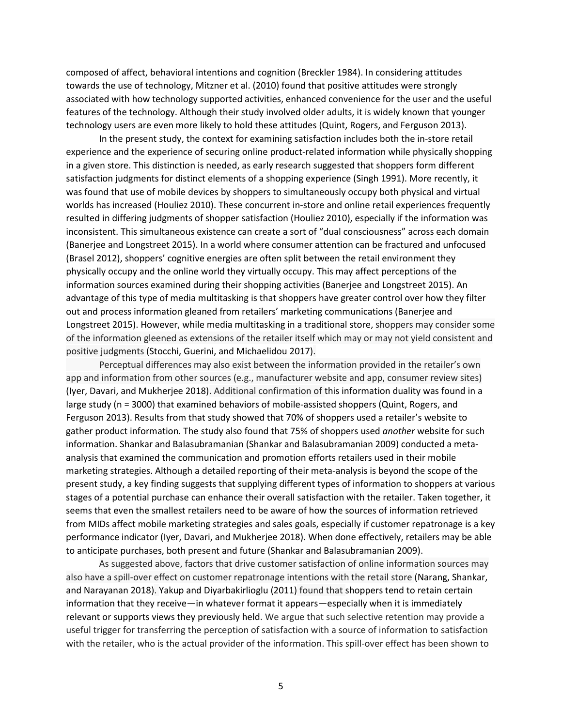composed of affect, behavioral intentions and cognition (Breckler 1984). In considering attitudes towards the use of technology, Mitzner et al. (2010) found that positive attitudes were strongly associated with how technology supported activities, enhanced convenience for the user and the useful features of the technology. Although their study involved older adults, it is widely known that younger technology users are even more likely to hold these attitudes (Quint, Rogers, and Ferguson 2013).

In the present study, the context for examining satisfaction includes both the in-store retail experience and the experience of securing online product-related information while physically shopping in a given store. This distinction is needed, as early research suggested that shoppers form different satisfaction judgments for distinct elements of a shopping experience (Singh 1991). More recently, it was found that use of mobile devices by shoppers to simultaneously occupy both physical and virtual worlds has increased (Houliez 2010). These concurrent in-store and online retail experiences frequently resulted in differing judgments of shopper satisfaction (Houliez 2010), especially if the information was inconsistent. This simultaneous existence can create a sort of "dual consciousness" across each domain (Banerjee and Longstreet 2015). In a world where consumer attention can be fractured and unfocused (Brasel 2012), shoppers' cognitive energies are often split between the retail environment they physically occupy and the online world they virtually occupy. This may affect perceptions of the information sources examined during their shopping activities (Banerjee and Longstreet 2015). An advantage of this type of media multitasking is that shoppers have greater control over how they filter out and process information gleaned from retailers' marketing communications (Banerjee and Longstreet 2015). However, while media multitasking in a traditional store, shoppers may consider some of the information gleened as extensions of the retailer itself which may or may not yield consistent and positive judgments (Stocchi, Guerini, and Michaelidou 2017).

Perceptual differences may also exist between the information provided in the retailer's own app and information from other sources (e.g., manufacturer website and app, consumer review sites) (Iyer, Davari, and Mukherjee 2018). Additional confirmation of this information duality was found in a large study (n = 3000) that examined behaviors of mobile-assisted shoppers (Quint, Rogers, and Ferguson 2013). Results from that study showed that 70% of shoppers used a retailer's website to gather product information. The study also found that 75% of shoppers used *another* website for such information. Shankar and Balasubramanian (Shankar and Balasubramanian 2009) conducted a metaanalysis that examined the communication and promotion efforts retailers used in their mobile marketing strategies. Although a detailed reporting of their meta-analysis is beyond the scope of the present study, a key finding suggests that supplying different types of information to shoppers at various stages of a potential purchase can enhance their overall satisfaction with the retailer. Taken together, it seems that even the smallest retailers need to be aware of how the sources of information retrieved from MIDs affect mobile marketing strategies and sales goals, especially if customer repatronage is a key performance indicator (Iyer, Davari, and Mukherjee 2018). When done effectively, retailers may be able to anticipate purchases, both present and future (Shankar and Balasubramanian 2009).

As suggested above, factors that drive customer satisfaction of online information sources may also have a spill-over effect on customer repatronage intentions with the retail store (Narang, Shankar, and Narayanan 2018). Yakup and Diyarbakirlioglu (2011) found that shoppers tend to retain certain information that they receive—in whatever format it appears—especially when it is immediately relevant or supports views they previously held. We argue that such selective retention may provide a useful trigger for transferring the perception of satisfaction with a source of information to satisfaction with the retailer, who is the actual provider of the information. This spill-over effect has been shown to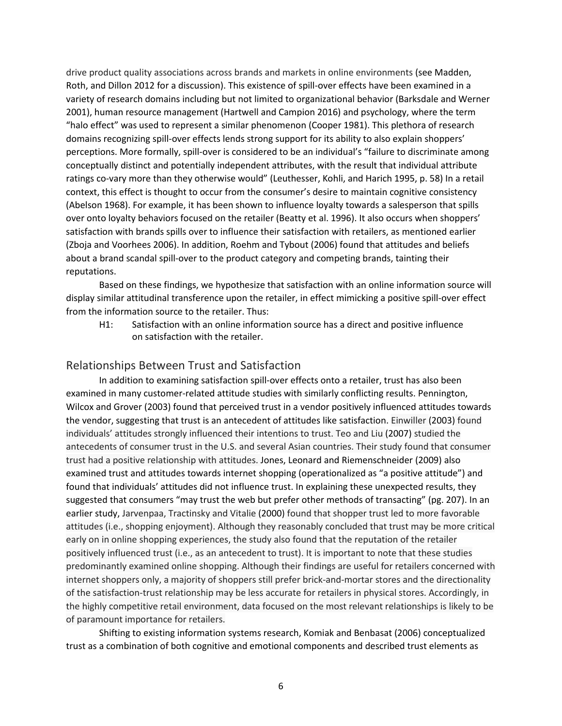drive product quality associations across brands and markets in online environments (see Madden, Roth, and Dillon 2012 for a discussion). This existence of spill-over effects have been examined in a variety of research domains including but not limited to organizational behavior (Barksdale and Werner 2001), human resource management (Hartwell and Campion 2016) and psychology, where the term "halo effect" was used to represent a similar phenomenon (Cooper 1981). This plethora of research domains recognizing spill-over effects lends strong support for its ability to also explain shoppers' perceptions. More formally, spill-over is considered to be an individual's "failure to discriminate among conceptually distinct and potentially independent attributes, with the result that individual attribute ratings co-vary more than they otherwise would" (Leuthesser, Kohli, and Harich 1995, p. 58) In a retail context, this effect is thought to occur from the consumer's desire to maintain cognitive consistency (Abelson 1968). For example, it has been shown to influence loyalty towards a salesperson that spills over onto loyalty behaviors focused on the retailer (Beatty et al. 1996). It also occurs when shoppers' satisfaction with brands spills over to influence their satisfaction with retailers, as mentioned earlier (Zboja and Voorhees 2006). In addition, Roehm and Tybout (2006) found that attitudes and beliefs about a brand scandal spill-over to the product category and competing brands, tainting their reputations.

Based on these findings, we hypothesize that satisfaction with an online information source will display similar attitudinal transference upon the retailer, in effect mimicking a positive spill-over effect from the information source to the retailer. Thus:

H1: Satisfaction with an online information source has a direct and positive influence on satisfaction with the retailer.

#### Relationships Between Trust and Satisfaction

In addition to examining satisfaction spill-over effects onto a retailer, trust has also been examined in many customer-related attitude studies with similarly conflicting results. Pennington, Wilcox and Grover (2003) found that perceived trust in a vendor positively influenced attitudes towards the vendor, suggesting that trust is an antecedent of attitudes like satisfaction. Einwiller (2003) found individuals' attitudes strongly influenced their intentions to trust. Teo and Liu (2007) studied the antecedents of consumer trust in the U.S. and several Asian countries. Their study found that consumer trust had a positive relationship with attitudes. Jones, Leonard and Riemenschneider (2009) also examined trust and attitudes towards internet shopping (operationalized as "a positive attitude") and found that individuals' attitudes did not influence trust. In explaining these unexpected results, they suggested that consumers "may trust the web but prefer other methods of transacting" (pg. 207). In an earlier study, Jarvenpaa, Tractinsky and Vitalie (2000) found that shopper trust led to more favorable attitudes (i.e., shopping enjoyment). Although they reasonably concluded that trust may be more critical early on in online shopping experiences, the study also found that the reputation of the retailer positively influenced trust (i.e., as an antecedent to trust). It is important to note that these studies predominantly examined online shopping. Although their findings are useful for retailers concerned with internet shoppers only, a majority of shoppers still prefer brick-and-mortar stores and the directionality of the satisfaction-trust relationship may be less accurate for retailers in physical stores. Accordingly, in the highly competitive retail environment, data focused on the most relevant relationships is likely to be of paramount importance for retailers.

Shifting to existing information systems research, Komiak and Benbasat (2006) conceptualized trust as a combination of both cognitive and emotional components and described trust elements as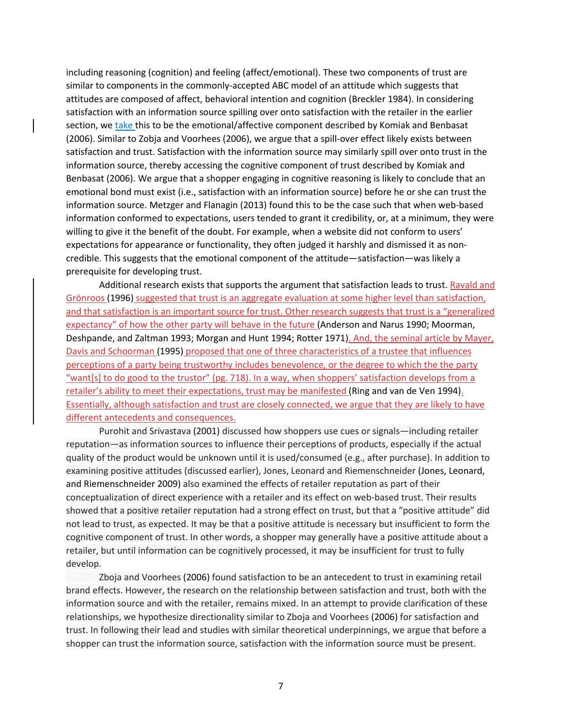including reasoning (cognition) and feeling (affect/emotional). These two components of trust are similar to components in the commonly-accepted ABC model of an attitude which suggests that attitudes are composed of affect, behavioral intention and cognition (Breckler 1984). In considering satisfaction with an information source spilling over onto satisfaction with the retailer in the earlier section, we take this to be the emotional/affective component described by Komiak and Benbasat (2006). Similar to Zobja and Voorhees (2006), we argue that a spill-over effect likely exists between satisfaction and trust. Satisfaction with the information source may similarly spill over onto trust in the information source, thereby accessing the cognitive component of trust described by Komiak and Benbasat (2006). We argue that a shopper engaging in cognitive reasoning is likely to conclude that an emotional bond must exist (i.e., satisfaction with an information source) before he or she can trust the information source. Metzger and Flanagin (2013) found this to be the case such that when web-based information conformed to expectations, users tended to grant it credibility, or, at a minimum, they were willing to give it the benefit of the doubt. For example, when a website did not conform to users' expectations for appearance or functionality, they often judged it harshly and dismissed it as noncredible. This suggests that the emotional component of the attitude—satisfaction—was likely a prerequisite for developing trust.

Additional research exists that supports the argument that satisfaction leads to trust. Ravald and Grönroos (1996) suggested that trust is an aggregate evaluation at some higher level than satisfaction, and that satisfaction is an important source for trust. Other research suggests that trust is a "generalized expectancy" of how the other party will behave in the future (Anderson and Narus 1990; Moorman, Deshpande, and Zaltman 1993; Morgan and Hunt 1994; Rotter 1971). And, the seminal article by Mayer, Davis and Schoorman (1995) proposed that one of three characteristics of a trustee that influences perceptions of a party being trustworthy includes benevolence, or the degree to which the the party "want[s] to do good to the trustor" (pg. 718). In a way, when shoppers' satisfaction develops from a retailer's ability to meet their expectations, trust may be manifested (Ring and van de Ven 1994). Essentially, although satisfaction and trust are closely connected, we argue that they are likely to have different antecedents and consequences.

Purohit and Srivastava (2001) discussed how shoppers use cues or signals—including retailer reputation—as information sources to influence their perceptions of products, especially if the actual quality of the product would be unknown until it is used/consumed (e.g., after purchase). In addition to examining positive attitudes (discussed earlier), Jones, Leonard and Riemenschneider (Jones, Leonard, and Riemenschneider 2009) also examined the effects of retailer reputation as part of their conceptualization of direct experience with a retailer and its effect on web-based trust. Their results showed that a positive retailer reputation had a strong effect on trust, but that a "positive attitude" did not lead to trust, as expected. It may be that a positive attitude is necessary but insufficient to form the cognitive component of trust. In other words, a shopper may generally have a positive attitude about a retailer, but until information can be cognitively processed, it may be insufficient for trust to fully develop.

Zboja and Voorhees (2006) found satisfaction to be an antecedent to trust in examining retail brand effects. However, the research on the relationship between satisfaction and trust, both with the information source and with the retailer, remains mixed. In an attempt to provide clarification of these relationships, we hypothesize directionality similar to Zboja and Voorhees (2006) for satisfaction and trust. In following their lead and studies with similar theoretical underpinnings, we argue that before a shopper can trust the information source, satisfaction with the information source must be present.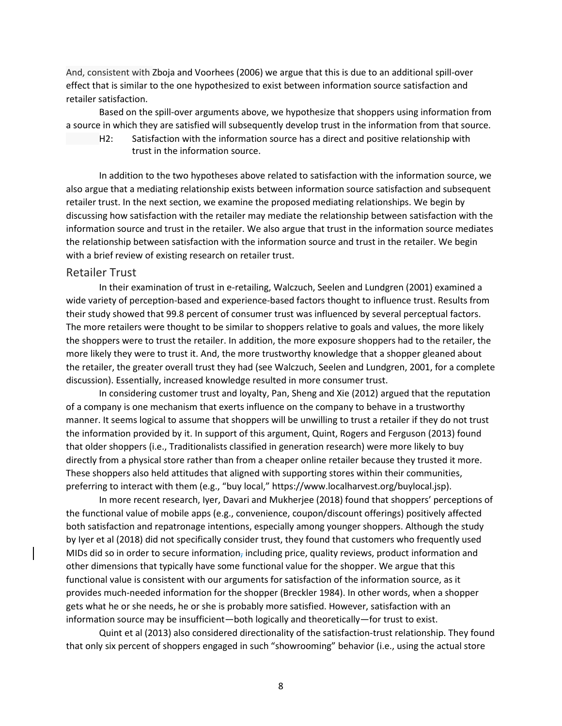And, consistent with Zboja and Voorhees (2006) we argue that this is due to an additional spill-over effect that is similar to the one hypothesized to exist between information source satisfaction and retailer satisfaction.

Based on the spill-over arguments above, we hypothesize that shoppers using information from a source in which they are satisfied will subsequently develop trust in the information from that source.

H2: Satisfaction with the information source has a direct and positive relationship with trust in the information source.

In addition to the two hypotheses above related to satisfaction with the information source, we also argue that a mediating relationship exists between information source satisfaction and subsequent retailer trust. In the next section, we examine the proposed mediating relationships. We begin by discussing how satisfaction with the retailer may mediate the relationship between satisfaction with the information source and trust in the retailer. We also argue that trust in the information source mediates the relationship between satisfaction with the information source and trust in the retailer. We begin with a brief review of existing research on retailer trust.

#### Retailer Trust

In their examination of trust in e-retailing, Walczuch, Seelen and Lundgren (2001) examined a wide variety of perception-based and experience-based factors thought to influence trust. Results from their study showed that 99.8 percent of consumer trust was influenced by several perceptual factors. The more retailers were thought to be similar to shoppers relative to goals and values, the more likely the shoppers were to trust the retailer. In addition, the more exposure shoppers had to the retailer, the more likely they were to trust it. And, the more trustworthy knowledge that a shopper gleaned about the retailer, the greater overall trust they had (see Walczuch, Seelen and Lundgren, 2001, for a complete discussion). Essentially, increased knowledge resulted in more consumer trust.

In considering customer trust and loyalty, Pan, Sheng and Xie (2012) argued that the reputation of a company is one mechanism that exerts influence on the company to behave in a trustworthy manner. It seems logical to assume that shoppers will be unwilling to trust a retailer if they do not trust the information provided by it. In support of this argument, Quint, Rogers and Ferguson (2013) found that older shoppers (i.e., Traditionalists classified in generation research) were more likely to buy directly from a physical store rather than from a cheaper online retailer because they trusted it more. These shoppers also held attitudes that aligned with supporting stores within their communities, preferring to interact with them (e.g., "buy local," https://www.localharvest.org/buylocal.jsp).

In more recent research, Iyer, Davari and Mukherjee (2018) found that shoppers' perceptions of the functional value of mobile apps (e.g., convenience, coupon/discount offerings) positively affected both satisfaction and repatronage intentions, especially among younger shoppers. Although the study by Iyer et al (2018) did not specifically consider trust, they found that customers who frequently used MIDs did so in order to secure information, including price, quality reviews, product information and other dimensions that typically have some functional value for the shopper. We argue that this functional value is consistent with our arguments for satisfaction of the information source, as it provides much-needed information for the shopper (Breckler 1984). In other words, when a shopper gets what he or she needs, he or she is probably more satisfied. However, satisfaction with an information source may be insufficient—both logically and theoretically—for trust to exist.

Quint et al (2013) also considered directionality of the satisfaction-trust relationship. They found that only six percent of shoppers engaged in such "showrooming" behavior (i.e., using the actual store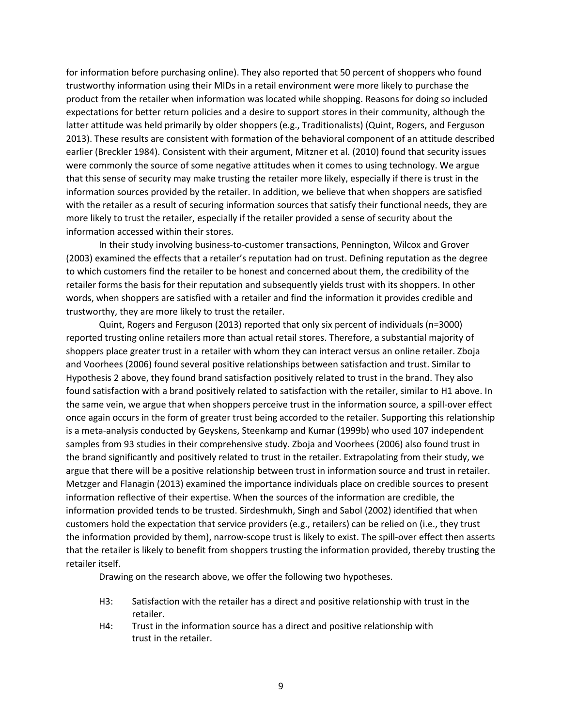for information before purchasing online). They also reported that 50 percent of shoppers who found trustworthy information using their MIDs in a retail environment were more likely to purchase the product from the retailer when information was located while shopping. Reasons for doing so included expectations for better return policies and a desire to support stores in their community, although the latter attitude was held primarily by older shoppers (e.g., Traditionalists) (Quint, Rogers, and Ferguson 2013). These results are consistent with formation of the behavioral component of an attitude described earlier (Breckler 1984). Consistent with their argument, Mitzner et al. (2010) found that security issues were commonly the source of some negative attitudes when it comes to using technology. We argue that this sense of security may make trusting the retailer more likely, especially if there is trust in the information sources provided by the retailer. In addition, we believe that when shoppers are satisfied with the retailer as a result of securing information sources that satisfy their functional needs, they are more likely to trust the retailer, especially if the retailer provided a sense of security about the information accessed within their stores.

In their study involving business-to-customer transactions, Pennington, Wilcox and Grover (2003) examined the effects that a retailer's reputation had on trust. Defining reputation as the degree to which customers find the retailer to be honest and concerned about them, the credibility of the retailer forms the basis for their reputation and subsequently yields trust with its shoppers. In other words, when shoppers are satisfied with a retailer and find the information it provides credible and trustworthy, they are more likely to trust the retailer.

Quint, Rogers and Ferguson (2013) reported that only six percent of individuals (n=3000) reported trusting online retailers more than actual retail stores. Therefore, a substantial majority of shoppers place greater trust in a retailer with whom they can interact versus an online retailer. Zboja and Voorhees (2006) found several positive relationships between satisfaction and trust. Similar to Hypothesis 2 above, they found brand satisfaction positively related to trust in the brand. They also found satisfaction with a brand positively related to satisfaction with the retailer, similar to H1 above. In the same vein, we argue that when shoppers perceive trust in the information source, a spill-over effect once again occurs in the form of greater trust being accorded to the retailer. Supporting this relationship is a meta-analysis conducted by Geyskens, Steenkamp and Kumar (1999b) who used 107 independent samples from 93 studies in their comprehensive study. Zboja and Voorhees (2006) also found trust in the brand significantly and positively related to trust in the retailer. Extrapolating from their study, we argue that there will be a positive relationship between trust in information source and trust in retailer. Metzger and Flanagin (2013) examined the importance individuals place on credible sources to present information reflective of their expertise. When the sources of the information are credible, the information provided tends to be trusted. Sirdeshmukh, Singh and Sabol (2002) identified that when customers hold the expectation that service providers (e.g., retailers) can be relied on (i.e., they trust the information provided by them), narrow-scope trust is likely to exist. The spill-over effect then asserts that the retailer is likely to benefit from shoppers trusting the information provided, thereby trusting the retailer itself.

Drawing on the research above, we offer the following two hypotheses.

- H3: Satisfaction with the retailer has a direct and positive relationship with trust in the retailer.
- H4: Trust in the information source has a direct and positive relationship with trust in the retailer.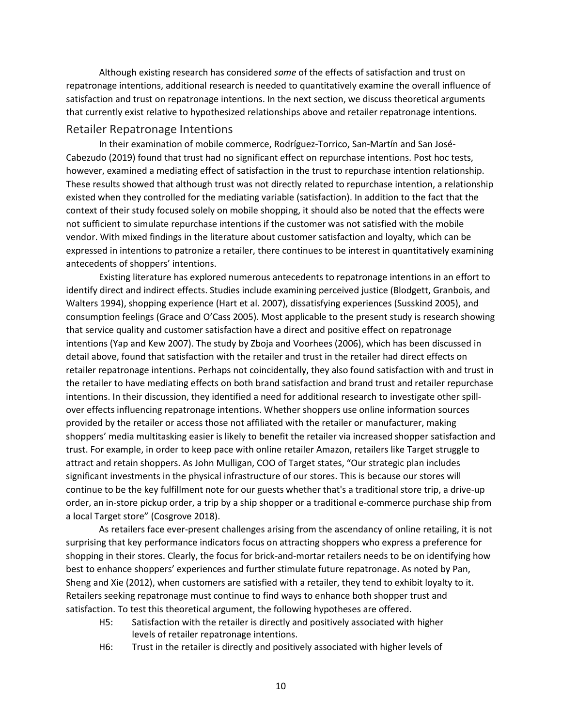Although existing research has considered *some* of the effects of satisfaction and trust on repatronage intentions, additional research is needed to quantitatively examine the overall influence of satisfaction and trust on repatronage intentions. In the next section, we discuss theoretical arguments that currently exist relative to hypothesized relationships above and retailer repatronage intentions.

#### Retailer Repatronage Intentions

In their examination of mobile commerce, Rodríguez-Torrico, San-Martín and San José-Cabezudo (2019) found that trust had no significant effect on repurchase intentions. Post hoc tests, however, examined a mediating effect of satisfaction in the trust to repurchase intention relationship. These results showed that although trust was not directly related to repurchase intention, a relationship existed when they controlled for the mediating variable (satisfaction). In addition to the fact that the context of their study focused solely on mobile shopping, it should also be noted that the effects were not sufficient to simulate repurchase intentions if the customer was not satisfied with the mobile vendor. With mixed findings in the literature about customer satisfaction and loyalty, which can be expressed in intentions to patronize a retailer, there continues to be interest in quantitatively examining antecedents of shoppers' intentions.

Existing literature has explored numerous antecedents to repatronage intentions in an effort to identify direct and indirect effects. Studies include examining perceived justice (Blodgett, Granbois, and Walters 1994), shopping experience (Hart et al. 2007), dissatisfying experiences (Susskind 2005), and consumption feelings (Grace and O'Cass 2005). Most applicable to the present study is research showing that service quality and customer satisfaction have a direct and positive effect on repatronage intentions (Yap and Kew 2007). The study by Zboja and Voorhees (2006), which has been discussed in detail above, found that satisfaction with the retailer and trust in the retailer had direct effects on retailer repatronage intentions. Perhaps not coincidentally, they also found satisfaction with and trust in the retailer to have mediating effects on both brand satisfaction and brand trust and retailer repurchase intentions. In their discussion, they identified a need for additional research to investigate other spillover effects influencing repatronage intentions. Whether shoppers use online information sources provided by the retailer or access those not affiliated with the retailer or manufacturer, making shoppers' media multitasking easier is likely to benefit the retailer via increased shopper satisfaction and trust. For example, in order to keep pace with online retailer Amazon, retailers like Target struggle to attract and retain shoppers. As John Mulligan, COO of Target states, "Our strategic plan includes significant investments in the physical infrastructure of our stores. This is because our stores will continue to be the key fulfillment note for our guests whether that's a traditional store trip, a drive-up order, an in-store pickup order, a trip by a ship shopper or a traditional e-commerce purchase ship from a local Target store" (Cosgrove 2018).

As retailers face ever-present challenges arising from the ascendancy of online retailing, it is not surprising that key performance indicators focus on attracting shoppers who express a preference for shopping in their stores. Clearly, the focus for brick-and-mortar retailers needs to be on identifying how best to enhance shoppers' experiences and further stimulate future repatronage. As noted by Pan, Sheng and Xie (2012), when customers are satisfied with a retailer, they tend to exhibit loyalty to it. Retailers seeking repatronage must continue to find ways to enhance both shopper trust and satisfaction. To test this theoretical argument, the following hypotheses are offered.

- H5: Satisfaction with the retailer is directly and positively associated with higher levels of retailer repatronage intentions.
- H6: Trust in the retailer is directly and positively associated with higher levels of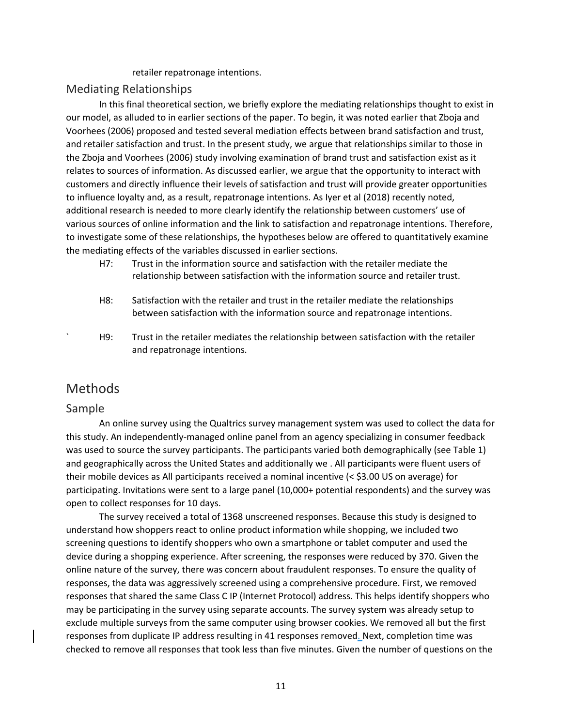retailer repatronage intentions.

### Mediating Relationships

In this final theoretical section, we briefly explore the mediating relationships thought to exist in our model, as alluded to in earlier sections of the paper. To begin, it was noted earlier that Zboja and Voorhees (2006) proposed and tested several mediation effects between brand satisfaction and trust, and retailer satisfaction and trust. In the present study, we argue that relationships similar to those in the Zboja and Voorhees (2006) study involving examination of brand trust and satisfaction exist as it relates to sources of information. As discussed earlier, we argue that the opportunity to interact with customers and directly influence their levels of satisfaction and trust will provide greater opportunities to influence loyalty and, as a result, repatronage intentions. As Iyer et al (2018) recently noted, additional research is needed to more clearly identify the relationship between customers' use of various sources of online information and the link to satisfaction and repatronage intentions. Therefore, to investigate some of these relationships, the hypotheses below are offered to quantitatively examine the mediating effects of the variables discussed in earlier sections.

- H7: Trust in the information source and satisfaction with the retailer mediate the relationship between satisfaction with the information source and retailer trust.
- H8: Satisfaction with the retailer and trust in the retailer mediate the relationships between satisfaction with the information source and repatronage intentions.
- H9: Trust in the retailer mediates the relationship between satisfaction with the retailer and repatronage intentions.

### Methods

#### Sample

An online survey using the Qualtrics survey management system was used to collect the data for this study. An independently-managed online panel from an agency specializing in consumer feedback was used to source the survey participants. The participants varied both demographically (see Table 1) and geographically across the United States and additionally we . All participants were fluent users of their mobile devices as All participants received a nominal incentive (< \$3.00 US on average) for participating. Invitations were sent to a large panel (10,000+ potential respondents) and the survey was open to collect responses for 10 days.

The survey received a total of 1368 unscreened responses. Because this study is designed to understand how shoppers react to online product information while shopping, we included two screening questions to identify shoppers who own a smartphone or tablet computer and used the device during a shopping experience. After screening, the responses were reduced by 370. Given the online nature of the survey, there was concern about fraudulent responses. To ensure the quality of responses, the data was aggressively screened using a comprehensive procedure. First, we removed responses that shared the same Class C IP (Internet Protocol) address. This helps identify shoppers who may be participating in the survey using separate accounts. The survey system was already setup to exclude multiple surveys from the same computer using browser cookies. We removed all but the first responses from duplicate IP address resulting in 41 responses removed. Next, completion time was checked to remove all responses that took less than five minutes. Given the number of questions on the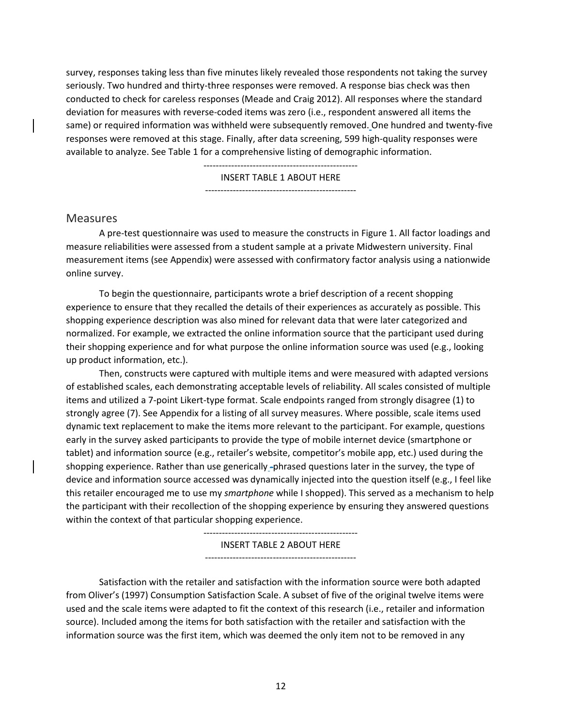survey, responses taking less than five minutes likely revealed those respondents not taking the survey seriously. Two hundred and thirty-three responses were removed. A response bias check was then conducted to check for careless responses (Meade and Craig 2012). All responses where the standard deviation for measures with reverse-coded items was zero (i.e., respondent answered all items the same) or required information was withheld were subsequently removed. One hundred and twenty-five responses were removed at this stage. Finally, after data screening, 599 high-quality responses were available to analyze. See Table 1 for a comprehensive listing of demographic information.

> -------------------------------------------------- INSERT TABLE 1 ABOUT HERE

> -------------------------------------------------

#### **Measures**

A pre-test questionnaire was used to measure the constructs in Figure 1. All factor loadings and measure reliabilities were assessed from a student sample at a private Midwestern university. Final measurement items (see Appendix) were assessed with confirmatory factor analysis using a nationwide online survey.

To begin the questionnaire, participants wrote a brief description of a recent shopping experience to ensure that they recalled the details of their experiences as accurately as possible. This shopping experience description was also mined for relevant data that were later categorized and normalized. For example, we extracted the online information source that the participant used during their shopping experience and for what purpose the online information source was used (e.g., looking up product information, etc.).

Then, constructs were captured with multiple items and were measured with adapted versions of established scales, each demonstrating acceptable levels of reliability. All scales consisted of multiple items and utilized a 7-point Likert-type format. Scale endpoints ranged from strongly disagree (1) to strongly agree (7). See Appendix for a listing of all survey measures. Where possible, scale items used dynamic text replacement to make the items more relevant to the participant. For example, questions early in the survey asked participants to provide the type of mobile internet device (smartphone or tablet) and information source (e.g., retailer's website, competitor's mobile app, etc.) used during the shopping experience. Rather than use generically -phrased questions later in the survey, the type of device and information source accessed was dynamically injected into the question itself (e.g., I feel like this retailer encouraged me to use my *smartphone* while I shopped). This served as a mechanism to help the participant with their recollection of the shopping experience by ensuring they answered questions within the context of that particular shopping experience.

> -------------------------------------------------- INSERT TABLE 2 ABOUT HERE -------------------------------------------------

Satisfaction with the retailer and satisfaction with the information source were both adapted from Oliver's (1997) Consumption Satisfaction Scale. A subset of five of the original twelve items were used and the scale items were adapted to fit the context of this research (i.e., retailer and information source). Included among the items for both satisfaction with the retailer and satisfaction with the information source was the first item, which was deemed the only item not to be removed in any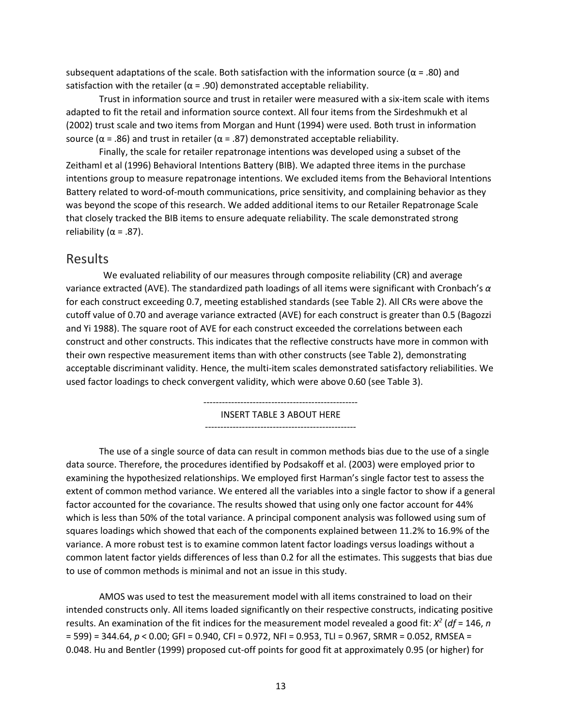subsequent adaptations of the scale. Both satisfaction with the information source ( $\alpha$  = .80) and satisfaction with the retailer ( $\alpha$  = .90) demonstrated acceptable reliability.

Trust in information source and trust in retailer were measured with a six-item scale with items adapted to fit the retail and information source context. All four items from the Sirdeshmukh et al (2002) trust scale and two items from Morgan and Hunt (1994) were used. Both trust in information source ( $\alpha$  = .86) and trust in retailer ( $\alpha$  = .87) demonstrated acceptable reliability.

Finally, the scale for retailer repatronage intentions was developed using a subset of the Zeithaml et al (1996) Behavioral Intentions Battery (BIB). We adapted three items in the purchase intentions group to measure repatronage intentions. We excluded items from the Behavioral Intentions Battery related to word-of-mouth communications, price sensitivity, and complaining behavior as they was beyond the scope of this research. We added additional items to our Retailer Repatronage Scale that closely tracked the BIB items to ensure adequate reliability. The scale demonstrated strong reliability ( $\alpha$  = .87).

### Results

We evaluated reliability of our measures through composite reliability (CR) and average variance extracted (AVE). The standardized path loadings of all items were significant with Cronbach's *α* for each construct exceeding 0.7, meeting established standards (see Table 2). All CRs were above the cutoff value of 0.70 and average variance extracted (AVE) for each construct is greater than 0.5 (Bagozzi and Yi 1988). The square root of AVE for each construct exceeded the correlations between each construct and other constructs. This indicates that the reflective constructs have more in common with their own respective measurement items than with other constructs (see Table 2), demonstrating acceptable discriminant validity. Hence, the multi-item scales demonstrated satisfactory reliabilities. We used factor loadings to check convergent validity, which were above 0.60 (see Table 3).

> -------------------------------------------------- INSERT TABLE 3 ABOUT HERE -------------------------------------------------

The use of a single source of data can result in common methods bias due to the use of a single data source. Therefore, the procedures identified by Podsakoff et al. (2003) were employed prior to examining the hypothesized relationships. We employed first Harman's single factor test to assess the extent of common method variance. We entered all the variables into a single factor to show if a general factor accounted for the covariance. The results showed that using only one factor account for 44% which is less than 50% of the total variance. A principal component analysis was followed using sum of squares loadings which showed that each of the components explained between 11.2% to 16.9% of the variance. A more robust test is to examine common latent factor loadings versus loadings without a common latent factor yields differences of less than 0.2 for all the estimates. This suggests that bias due to use of common methods is minimal and not an issue in this study.

AMOS was used to test the measurement model with all items constrained to load on their intended constructs only. All items loaded significantly on their respective constructs, indicating positive results. An examination of the fit indices for the measurement model revealed a good fit: *X2* (*df* = 146, *n* = 599) = 344.64, *p* < 0.00; GFI = 0.940, CFI = 0.972, NFI = 0.953, TLI = 0.967, SRMR = 0.052, RMSEA = 0.048. Hu and Bentler (1999) proposed cut-off points for good fit at approximately 0.95 (or higher) for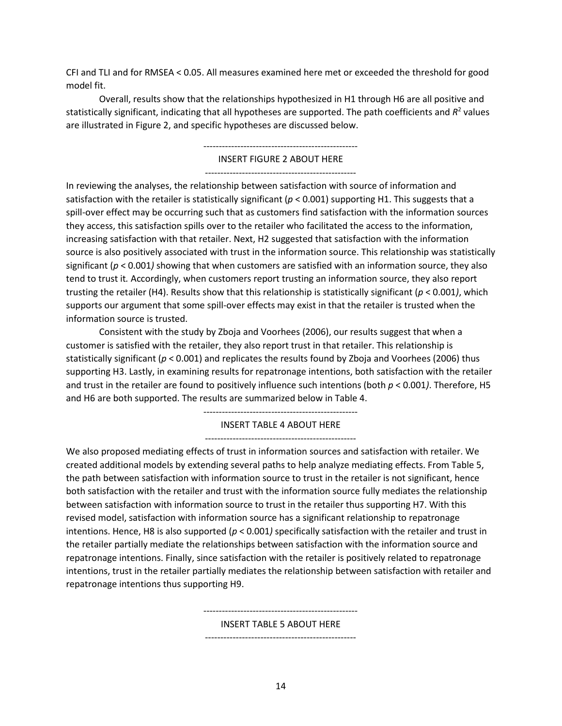CFI and TLI and for RMSEA < 0.05. All measures examined here met or exceeded the threshold for good model fit.

Overall, results show that the relationships hypothesized in H1 through H6 are all positive and statistically significant, indicating that all hypotheses are supported. The path coefficients and  $R<sup>2</sup>$  values are illustrated in Figure 2, and specific hypotheses are discussed below.

--------------------------------------------------

INSERT FIGURE 2 ABOUT HERE -------------------------------------------------

In reviewing the analyses, the relationship between satisfaction with source of information and satisfaction with the retailer is statistically significant (*p* < 0.001) supporting H1. This suggests that a spill-over effect may be occurring such that as customers find satisfaction with the information sources they access, this satisfaction spills over to the retailer who facilitated the access to the information, increasing satisfaction with that retailer. Next, H2 suggested that satisfaction with the information source is also positively associated with trust in the information source. This relationship was statistically significant (*p* < 0.001*)* showing that when customers are satisfied with an information source, they also tend to trust it*.* Accordingly, when customers report trusting an information source, they also report trusting the retailer (H4). Results show that this relationship is statistically significant (*p* < 0.001*)*, which supports our argument that some spill-over effects may exist in that the retailer is trusted when the information source is trusted.

Consistent with the study by Zboja and Voorhees (2006), our results suggest that when a customer is satisfied with the retailer, they also report trust in that retailer. This relationship is statistically significant (*p* < 0.001) and replicates the results found by Zboja and Voorhees (2006) thus supporting H3. Lastly, in examining results for repatronage intentions, both satisfaction with the retailer and trust in the retailer are found to positively influence such intentions (both *p* < 0.001*)*. Therefore, H5 and H6 are both supported. The results are summarized below in Table 4.

> -------------------------------------------------- INSERT TABLE 4 ABOUT HERE

-------------------------------------------------

We also proposed mediating effects of trust in information sources and satisfaction with retailer. We created additional models by extending several paths to help analyze mediating effects. From Table 5, the path between satisfaction with information source to trust in the retailer is not significant, hence both satisfaction with the retailer and trust with the information source fully mediates the relationship between satisfaction with information source to trust in the retailer thus supporting H7. With this revised model, satisfaction with information source has a significant relationship to repatronage intentions. Hence, H8 is also supported (*p* < 0.001*)* specifically satisfaction with the retailer and trust in the retailer partially mediate the relationships between satisfaction with the information source and repatronage intentions. Finally, since satisfaction with the retailer is positively related to repatronage intentions, trust in the retailer partially mediates the relationship between satisfaction with retailer and repatronage intentions thus supporting H9.

#### -------------------------------------------------- INSERT TABLE 5 ABOUT HERE

-------------------------------------------------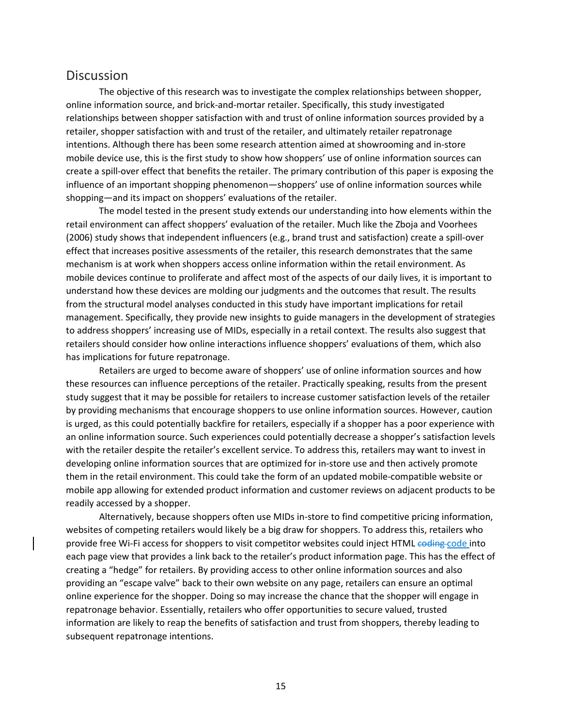### **Discussion**

The objective of this research was to investigate the complex relationships between shopper, online information source, and brick-and-mortar retailer. Specifically, this study investigated relationships between shopper satisfaction with and trust of online information sources provided by a retailer, shopper satisfaction with and trust of the retailer, and ultimately retailer repatronage intentions. Although there has been some research attention aimed at showrooming and in-store mobile device use, this is the first study to show how shoppers' use of online information sources can create a spill-over effect that benefits the retailer. The primary contribution of this paper is exposing the influence of an important shopping phenomenon—shoppers' use of online information sources while shopping—and its impact on shoppers' evaluations of the retailer.

The model tested in the present study extends our understanding into how elements within the retail environment can affect shoppers' evaluation of the retailer. Much like the Zboja and Voorhees (2006) study shows that independent influencers (e.g., brand trust and satisfaction) create a spill-over effect that increases positive assessments of the retailer, this research demonstrates that the same mechanism is at work when shoppers access online information within the retail environment. As mobile devices continue to proliferate and affect most of the aspects of our daily lives, it is important to understand how these devices are molding our judgments and the outcomes that result. The results from the structural model analyses conducted in this study have important implications for retail management. Specifically, they provide new insights to guide managers in the development of strategies to address shoppers' increasing use of MIDs, especially in a retail context. The results also suggest that retailers should consider how online interactions influence shoppers' evaluations of them, which also has implications for future repatronage.

Retailers are urged to become aware of shoppers' use of online information sources and how these resources can influence perceptions of the retailer. Practically speaking, results from the present study suggest that it may be possible for retailers to increase customer satisfaction levels of the retailer by providing mechanisms that encourage shoppers to use online information sources. However, caution is urged, as this could potentially backfire for retailers, especially if a shopper has a poor experience with an online information source. Such experiences could potentially decrease a shopper's satisfaction levels with the retailer despite the retailer's excellent service. To address this, retailers may want to invest in developing online information sources that are optimized for in-store use and then actively promote them in the retail environment. This could take the form of an updated mobile-compatible website or mobile app allowing for extended product information and customer reviews on adjacent products to be readily accessed by a shopper.

Alternatively, because shoppers often use MIDs in-store to find competitive pricing information, websites of competing retailers would likely be a big draw for shoppers. To address this, retailers who provide free Wi-Fi access for shoppers to visit competitor websites could inject HTML coding code into each page view that provides a link back to the retailer's product information page. This has the effect of creating a "hedge" for retailers. By providing access to other online information sources and also providing an "escape valve" back to their own website on any page, retailers can ensure an optimal online experience for the shopper. Doing so may increase the chance that the shopper will engage in repatronage behavior. Essentially, retailers who offer opportunities to secure valued, trusted information are likely to reap the benefits of satisfaction and trust from shoppers, thereby leading to subsequent repatronage intentions.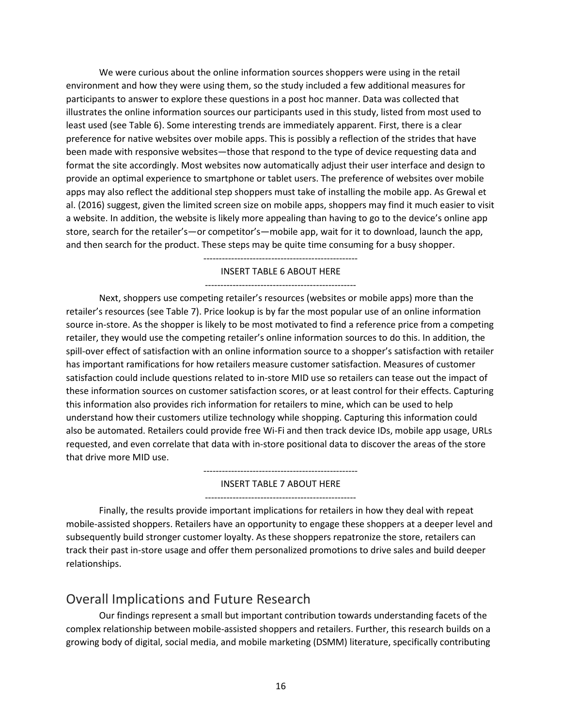We were curious about the online information sources shoppers were using in the retail environment and how they were using them, so the study included a few additional measures for participants to answer to explore these questions in a post hoc manner. Data was collected that illustrates the online information sources our participants used in this study, listed from most used to least used (see Table 6). Some interesting trends are immediately apparent. First, there is a clear preference for native websites over mobile apps. This is possibly a reflection of the strides that have been made with responsive websites—those that respond to the type of device requesting data and format the site accordingly. Most websites now automatically adjust their user interface and design to provide an optimal experience to smartphone or tablet users. The preference of websites over mobile apps may also reflect the additional step shoppers must take of installing the mobile app. As Grewal et al. (2016) suggest, given the limited screen size on mobile apps, shoppers may find it much easier to visit a website. In addition, the website is likely more appealing than having to go to the device's online app store, search for the retailer's—or competitor's—mobile app, wait for it to download, launch the app, and then search for the product. These steps may be quite time consuming for a busy shopper.

### --------------------------------------------------

#### INSERT TABLE 6 ABOUT HERE -------------------------------------------------

Next, shoppers use competing retailer's resources (websites or mobile apps) more than the retailer's resources (see Table 7). Price lookup is by far the most popular use of an online information source in-store. As the shopper is likely to be most motivated to find a reference price from a competing retailer, they would use the competing retailer's online information sources to do this. In addition, the spill-over effect of satisfaction with an online information source to a shopper's satisfaction with retailer has important ramifications for how retailers measure customer satisfaction. Measures of customer satisfaction could include questions related to in-store MID use so retailers can tease out the impact of these information sources on customer satisfaction scores, or at least control for their effects. Capturing this information also provides rich information for retailers to mine, which can be used to help understand how their customers utilize technology while shopping. Capturing this information could also be automated. Retailers could provide free Wi-Fi and then track device IDs, mobile app usage, URLs requested, and even correlate that data with in-store positional data to discover the areas of the store that drive more MID use.

#### INSERT TABLE 7 ABOUT HERE

-------------------------------------------------

--------------------------------------------------

Finally, the results provide important implications for retailers in how they deal with repeat mobile-assisted shoppers. Retailers have an opportunity to engage these shoppers at a deeper level and subsequently build stronger customer loyalty. As these shoppers repatronize the store, retailers can track their past in-store usage and offer them personalized promotions to drive sales and build deeper relationships.

### Overall Implications and Future Research

Our findings represent a small but important contribution towards understanding facets of the complex relationship between mobile-assisted shoppers and retailers. Further, this research builds on a growing body of digital, social media, and mobile marketing (DSMM) literature, specifically contributing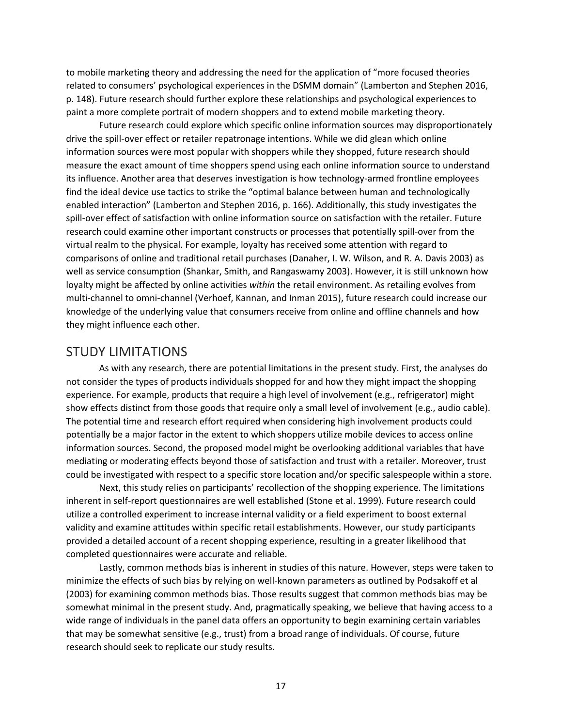to mobile marketing theory and addressing the need for the application of "more focused theories related to consumers' psychological experiences in the DSMM domain" (Lamberton and Stephen 2016, p. 148). Future research should further explore these relationships and psychological experiences to paint a more complete portrait of modern shoppers and to extend mobile marketing theory.

Future research could explore which specific online information sources may disproportionately drive the spill-over effect or retailer repatronage intentions. While we did glean which online information sources were most popular with shoppers while they shopped, future research should measure the exact amount of time shoppers spend using each online information source to understand its influence. Another area that deserves investigation is how technology-armed frontline employees find the ideal device use tactics to strike the "optimal balance between human and technologically enabled interaction" (Lamberton and Stephen 2016, p. 166). Additionally, this study investigates the spill-over effect of satisfaction with online information source on satisfaction with the retailer. Future research could examine other important constructs or processes that potentially spill-over from the virtual realm to the physical. For example, loyalty has received some attention with regard to comparisons of online and traditional retail purchases (Danaher, I. W. Wilson, and R. A. Davis 2003) as well as service consumption (Shankar, Smith, and Rangaswamy 2003). However, it is still unknown how loyalty might be affected by online activities *within* the retail environment. As retailing evolves from multi-channel to omni-channel (Verhoef, Kannan, and Inman 2015), future research could increase our knowledge of the underlying value that consumers receive from online and offline channels and how they might influence each other.

### STUDY LIMITATIONS

As with any research, there are potential limitations in the present study. First, the analyses do not consider the types of products individuals shopped for and how they might impact the shopping experience. For example, products that require a high level of involvement (e.g., refrigerator) might show effects distinct from those goods that require only a small level of involvement (e.g., audio cable). The potential time and research effort required when considering high involvement products could potentially be a major factor in the extent to which shoppers utilize mobile devices to access online information sources. Second, the proposed model might be overlooking additional variables that have mediating or moderating effects beyond those of satisfaction and trust with a retailer. Moreover, trust could be investigated with respect to a specific store location and/or specific salespeople within a store.

Next, this study relies on participants' recollection of the shopping experience. The limitations inherent in self-report questionnaires are well established (Stone et al. 1999). Future research could utilize a controlled experiment to increase internal validity or a field experiment to boost external validity and examine attitudes within specific retail establishments. However, our study participants provided a detailed account of a recent shopping experience, resulting in a greater likelihood that completed questionnaires were accurate and reliable.

Lastly, common methods bias is inherent in studies of this nature. However, steps were taken to minimize the effects of such bias by relying on well-known parameters as outlined by Podsakoff et al (2003) for examining common methods bias. Those results suggest that common methods bias may be somewhat minimal in the present study. And, pragmatically speaking, we believe that having access to a wide range of individuals in the panel data offers an opportunity to begin examining certain variables that may be somewhat sensitive (e.g., trust) from a broad range of individuals. Of course, future research should seek to replicate our study results.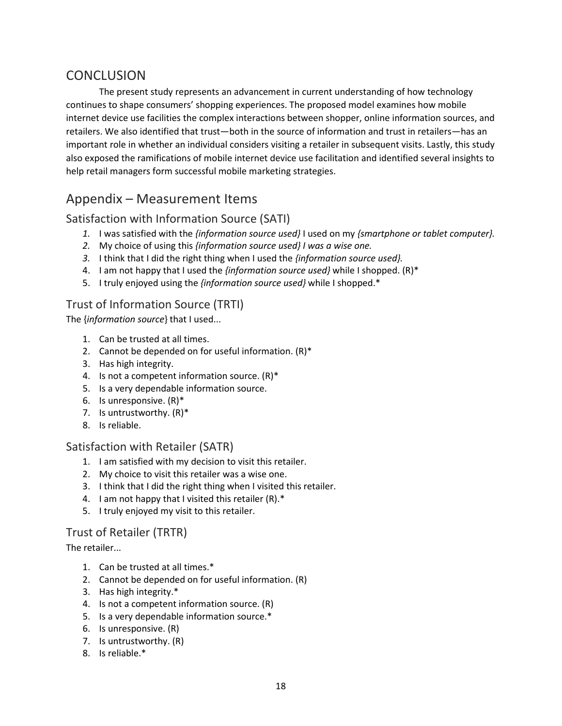### **CONCLUSION**

The present study represents an advancement in current understanding of how technology continues to shape consumers' shopping experiences. The proposed model examines how mobile internet device use facilities the complex interactions between shopper, online information sources, and retailers. We also identified that trust—both in the source of information and trust in retailers—has an important role in whether an individual considers visiting a retailer in subsequent visits. Lastly, this study also exposed the ramifications of mobile internet device use facilitation and identified several insights to help retail managers form successful mobile marketing strategies.

### Appendix – Measurement Items

### Satisfaction with Information Source (SATI)

- *1.* I was satisfied with the *{information source used}* I used on my *{smartphone or tablet computer}.*
- *2.* My choice of using this *{information source used} I was a wise one.*
- *3.* I think that I did the right thing when I used the *{information source used}.*
- 4. I am not happy that I used the *{information source used}* while I shopped. (R)\*
- 5. I truly enjoyed using the *{information source used}* while I shopped.\*

### Trust of Information Source (TRTI)

The {*information source*} that I used...

- 1. Can be trusted at all times.
- 2. Cannot be depended on for useful information.  $(R)^*$
- 3. Has high integrity.
- 4. Is not a competent information source.  $(R)^*$
- 5. Is a very dependable information source.
- 6. Is unresponsive.  $(R)^*$
- 7. Is untrustworthy. (R)\*
- 8. Is reliable.

### Satisfaction with Retailer (SATR)

- 1. I am satisfied with my decision to visit this retailer.
- 2. My choice to visit this retailer was a wise one.
- 3. I think that I did the right thing when I visited this retailer.
- 4. I am not happy that I visited this retailer  $(R)$ .\*
- 5. I truly enjoyed my visit to this retailer.

### Trust of Retailer (TRTR)

The retailer...

- 1. Can be trusted at all times.\*
- 2. Cannot be depended on for useful information. (R)
- 3. Has high integrity.\*
- 4. Is not a competent information source. (R)
- 5. Is a very dependable information source.\*
- 6. Is unresponsive. (R)
- 7. Is untrustworthy. (R)
- 8. Is reliable.\*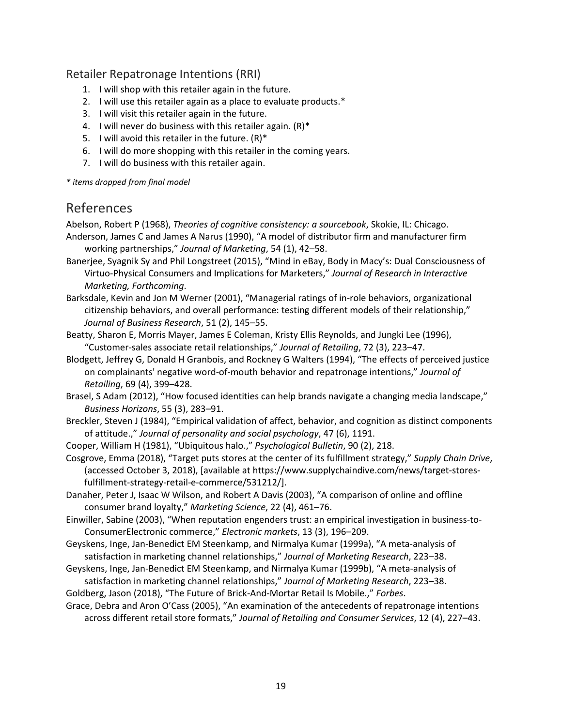### Retailer Repatronage Intentions (RRI)

- 1. I will shop with this retailer again in the future.
- 2. I will use this retailer again as a place to evaluate products.\*
- 3. I will visit this retailer again in the future.
- 4. I will never do business with this retailer again.  $(R)^*$
- 5. I will avoid this retailer in the future.  $(R)^*$
- 6. I will do more shopping with this retailer in the coming years.
- 7. I will do business with this retailer again.

*\* items dropped from final model*

### References

Abelson, Robert P (1968), *Theories of cognitive consistency: a sourcebook*, Skokie, IL: Chicago. Anderson, James C and James A Narus (1990), "A model of distributor firm and manufacturer firm

working partnerships," *Journal of Marketing*, 54 (1), 42–58.

- Banerjee, Syagnik Sy and Phil Longstreet (2015), "Mind in eBay, Body in Macy's: Dual Consciousness of Virtuo-Physical Consumers and Implications for Marketers," *Journal of Research in Interactive Marketing, Forthcoming*.
- Barksdale, Kevin and Jon M Werner (2001), "Managerial ratings of in-role behaviors, organizational citizenship behaviors, and overall performance: testing different models of their relationship," *Journal of Business Research*, 51 (2), 145–55.
- Beatty, Sharon E, Morris Mayer, James E Coleman, Kristy Ellis Reynolds, and Jungki Lee (1996), "Customer-sales associate retail relationships," *Journal of Retailing*, 72 (3), 223–47.
- Blodgett, Jeffrey G, Donald H Granbois, and Rockney G Walters (1994), "The effects of perceived justice on complainants' negative word-of-mouth behavior and repatronage intentions," *Journal of Retailing*, 69 (4), 399–428.
- Brasel, S Adam (2012), "How focused identities can help brands navigate a changing media landscape," *Business Horizons*, 55 (3), 283–91.
- Breckler, Steven J (1984), "Empirical validation of affect, behavior, and cognition as distinct components of attitude.," *Journal of personality and social psychology*, 47 (6), 1191.
- Cooper, William H (1981), "Ubiquitous halo.," *Psychological Bulletin*, 90 (2), 218.
- Cosgrove, Emma (2018), "Target puts stores at the center of its fulfillment strategy," *Supply Chain Drive*, (accessed October 3, 2018), [available at https://www.supplychaindive.com/news/target-storesfulfillment-strategy-retail-e-commerce/531212/].
- Danaher, Peter J, Isaac W Wilson, and Robert A Davis (2003), "A comparison of online and offline consumer brand loyalty," *Marketing Science*, 22 (4), 461–76.

Einwiller, Sabine (2003), "When reputation engenders trust: an empirical investigation in business-to-ConsumerElectronic commerce," *Electronic markets*, 13 (3), 196–209.

- Geyskens, Inge, Jan-Benedict EM Steenkamp, and Nirmalya Kumar (1999a), "A meta-analysis of satisfaction in marketing channel relationships," *Journal of Marketing Research*, 223–38.
- Geyskens, Inge, Jan-Benedict EM Steenkamp, and Nirmalya Kumar (1999b), "A meta-analysis of satisfaction in marketing channel relationships," *Journal of Marketing Research*, 223–38.
- Goldberg, Jason (2018), "The Future of Brick-And-Mortar Retail Is Mobile.," *Forbes*.
- Grace, Debra and Aron O'Cass (2005), "An examination of the antecedents of repatronage intentions across different retail store formats," *Journal of Retailing and Consumer Services*, 12 (4), 227–43.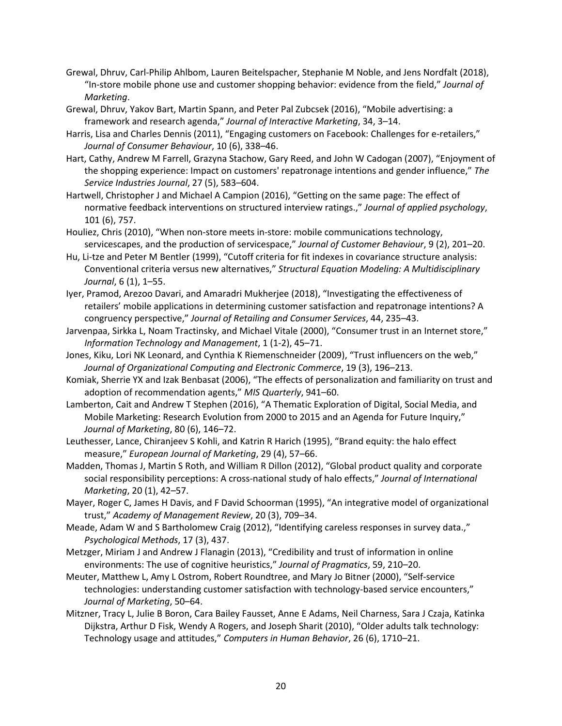- Grewal, Dhruv, Carl-Philip Ahlbom, Lauren Beitelspacher, Stephanie M Noble, and Jens Nordfalt (2018), "In-store mobile phone use and customer shopping behavior: evidence from the field," *Journal of Marketing*.
- Grewal, Dhruv, Yakov Bart, Martin Spann, and Peter Pal Zubcsek (2016), "Mobile advertising: a framework and research agenda," *Journal of Interactive Marketing*, 34, 3–14.
- Harris, Lisa and Charles Dennis (2011), "Engaging customers on Facebook: Challenges for e-retailers," *Journal of Consumer Behaviour*, 10 (6), 338–46.
- Hart, Cathy, Andrew M Farrell, Grazyna Stachow, Gary Reed, and John W Cadogan (2007), "Enjoyment of the shopping experience: Impact on customers' repatronage intentions and gender influence," *The Service Industries Journal*, 27 (5), 583–604.
- Hartwell, Christopher J and Michael A Campion (2016), "Getting on the same page: The effect of normative feedback interventions on structured interview ratings.," *Journal of applied psychology*, 101 (6), 757.
- Houliez, Chris (2010), "When non-store meets in-store: mobile communications technology, servicescapes, and the production of servicespace," *Journal of Customer Behaviour*, 9 (2), 201–20.
- Hu, Li-tze and Peter M Bentler (1999), "Cutoff criteria for fit indexes in covariance structure analysis: Conventional criteria versus new alternatives," *Structural Equation Modeling: A Multidisciplinary Journal*, 6 (1), 1–55.
- Iyer, Pramod, Arezoo Davari, and Amaradri Mukherjee (2018), "Investigating the effectiveness of retailers' mobile applications in determining customer satisfaction and repatronage intentions? A congruency perspective," *Journal of Retailing and Consumer Services*, 44, 235–43.
- Jarvenpaa, Sirkka L, Noam Tractinsky, and Michael Vitale (2000), "Consumer trust in an Internet store," *Information Technology and Management*, 1 (1-2), 45–71.
- Jones, Kiku, Lori NK Leonard, and Cynthia K Riemenschneider (2009), "Trust influencers on the web," *Journal of Organizational Computing and Electronic Commerce*, 19 (3), 196–213.
- Komiak, Sherrie YX and Izak Benbasat (2006), "The effects of personalization and familiarity on trust and adoption of recommendation agents," *MIS Quarterly*, 941–60.
- Lamberton, Cait and Andrew T Stephen (2016), "A Thematic Exploration of Digital, Social Media, and Mobile Marketing: Research Evolution from 2000 to 2015 and an Agenda for Future Inquiry," *Journal of Marketing*, 80 (6), 146–72.
- Leuthesser, Lance, Chiranjeev S Kohli, and Katrin R Harich (1995), "Brand equity: the halo effect measure," *European Journal of Marketing*, 29 (4), 57–66.
- Madden, Thomas J, Martin S Roth, and William R Dillon (2012), "Global product quality and corporate social responsibility perceptions: A cross-national study of halo effects," *Journal of International Marketing*, 20 (1), 42–57.
- Mayer, Roger C, James H Davis, and F David Schoorman (1995), "An integrative model of organizational trust," *Academy of Management Review*, 20 (3), 709–34.
- Meade, Adam W and S Bartholomew Craig (2012), "Identifying careless responses in survey data.," *Psychological Methods*, 17 (3), 437.
- Metzger, Miriam J and Andrew J Flanagin (2013), "Credibility and trust of information in online environments: The use of cognitive heuristics," *Journal of Pragmatics*, 59, 210–20.
- Meuter, Matthew L, Amy L Ostrom, Robert Roundtree, and Mary Jo Bitner (2000), "Self-service technologies: understanding customer satisfaction with technology-based service encounters," *Journal of Marketing*, 50–64.
- Mitzner, Tracy L, Julie B Boron, Cara Bailey Fausset, Anne E Adams, Neil Charness, Sara J Czaja, Katinka Dijkstra, Arthur D Fisk, Wendy A Rogers, and Joseph Sharit (2010), "Older adults talk technology: Technology usage and attitudes," *Computers in Human Behavior*, 26 (6), 1710–21.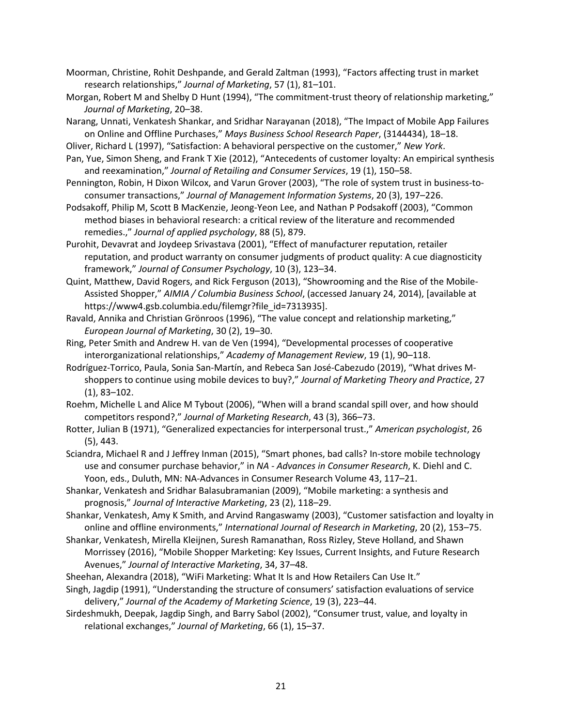Moorman, Christine, Rohit Deshpande, and Gerald Zaltman (1993), "Factors affecting trust in market research relationships," *Journal of Marketing*, 57 (1), 81–101.

Morgan, Robert M and Shelby D Hunt (1994), "The commitment-trust theory of relationship marketing," *Journal of Marketing*, 20–38.

Narang, Unnati, Venkatesh Shankar, and Sridhar Narayanan (2018), "The Impact of Mobile App Failures on Online and Offline Purchases," *Mays Business School Research Paper*, (3144434), 18–18.

Oliver, Richard L (1997), "Satisfaction: A behavioral perspective on the customer," *New York*.

Pan, Yue, Simon Sheng, and Frank T Xie (2012), "Antecedents of customer loyalty: An empirical synthesis and reexamination," *Journal of Retailing and Consumer Services*, 19 (1), 150–58.

- Pennington, Robin, H Dixon Wilcox, and Varun Grover (2003), "The role of system trust in business-toconsumer transactions," *Journal of Management Information Systems*, 20 (3), 197–226.
- Podsakoff, Philip M, Scott B MacKenzie, Jeong-Yeon Lee, and Nathan P Podsakoff (2003), "Common method biases in behavioral research: a critical review of the literature and recommended remedies.," *Journal of applied psychology*, 88 (5), 879.

Purohit, Devavrat and Joydeep Srivastava (2001), "Effect of manufacturer reputation, retailer reputation, and product warranty on consumer judgments of product quality: A cue diagnosticity framework," *Journal of Consumer Psychology*, 10 (3), 123–34.

Quint, Matthew, David Rogers, and Rick Ferguson (2013), "Showrooming and the Rise of the Mobile-Assisted Shopper," *AIMIA / Columbia Business School*, (accessed January 24, 2014), [available at https://www4.gsb.columbia.edu/filemgr?file\_id=7313935].

Ravald, Annika and Christian Grönroos (1996), "The value concept and relationship marketing," *European Journal of Marketing*, 30 (2), 19–30.

Ring, Peter Smith and Andrew H. van de Ven (1994), "Developmental processes of cooperative interorganizational relationships," *Academy of Management Review*, 19 (1), 90–118.

Rodríguez-Torrico, Paula, Sonia San-Martín, and Rebeca San José-Cabezudo (2019), "What drives Mshoppers to continue using mobile devices to buy?," *Journal of Marketing Theory and Practice*, 27 (1), 83–102.

Roehm, Michelle L and Alice M Tybout (2006), "When will a brand scandal spill over, and how should competitors respond?," *Journal of Marketing Research*, 43 (3), 366–73.

Rotter, Julian B (1971), "Generalized expectancies for interpersonal trust.," *American psychologist*, 26 (5), 443.

Sciandra, Michael R and J Jeffrey Inman (2015), "Smart phones, bad calls? In-store mobile technology use and consumer purchase behavior," in *NA - Advances in Consumer Research*, K. Diehl and C. Yoon, eds., Duluth, MN: NA-Advances in Consumer Research Volume 43, 117–21.

Shankar, Venkatesh and Sridhar Balasubramanian (2009), "Mobile marketing: a synthesis and prognosis," *Journal of Interactive Marketing*, 23 (2), 118–29.

Shankar, Venkatesh, Amy K Smith, and Arvind Rangaswamy (2003), "Customer satisfaction and loyalty in online and offline environments," *International Journal of Research in Marketing*, 20 (2), 153–75.

Shankar, Venkatesh, Mirella Kleijnen, Suresh Ramanathan, Ross Rizley, Steve Holland, and Shawn Morrissey (2016), "Mobile Shopper Marketing: Key Issues, Current Insights, and Future Research Avenues," *Journal of Interactive Marketing*, 34, 37–48.

Sheehan, Alexandra (2018), "WiFi Marketing: What It Is and How Retailers Can Use It."

Singh, Jagdip (1991), "Understanding the structure of consumers' satisfaction evaluations of service delivery," *Journal of the Academy of Marketing Science*, 19 (3), 223–44.

Sirdeshmukh, Deepak, Jagdip Singh, and Barry Sabol (2002), "Consumer trust, value, and loyalty in relational exchanges," *Journal of Marketing*, 66 (1), 15–37.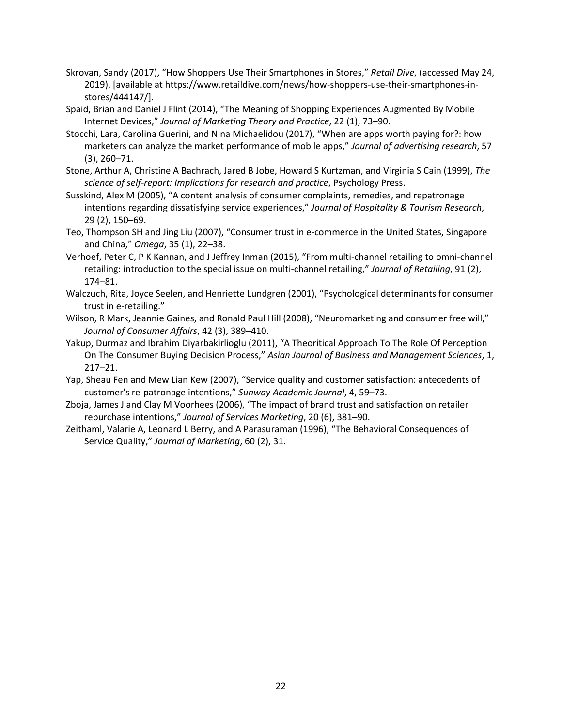- Skrovan, Sandy (2017), "How Shoppers Use Their Smartphones in Stores," *Retail Dive*, (accessed May 24, 2019), [available at https://www.retaildive.com/news/how-shoppers-use-their-smartphones-instores/444147/].
- Spaid, Brian and Daniel J Flint (2014), "The Meaning of Shopping Experiences Augmented By Mobile Internet Devices," *Journal of Marketing Theory and Practice*, 22 (1), 73–90.
- Stocchi, Lara, Carolina Guerini, and Nina Michaelidou (2017), "When are apps worth paying for?: how marketers can analyze the market performance of mobile apps," *Journal of advertising research*, 57 (3), 260–71.
- Stone, Arthur A, Christine A Bachrach, Jared B Jobe, Howard S Kurtzman, and Virginia S Cain (1999), *The science of self-report: Implications for research and practice*, Psychology Press.
- Susskind, Alex M (2005), "A content analysis of consumer complaints, remedies, and repatronage intentions regarding dissatisfying service experiences," *Journal of Hospitality & Tourism Research*, 29 (2), 150–69.
- Teo, Thompson SH and Jing Liu (2007), "Consumer trust in e-commerce in the United States, Singapore and China," *Omega*, 35 (1), 22–38.
- Verhoef, Peter C, P K Kannan, and J Jeffrey Inman (2015), "From multi-channel retailing to omni-channel retailing: introduction to the special issue on multi-channel retailing," *Journal of Retailing*, 91 (2), 174–81.
- Walczuch, Rita, Joyce Seelen, and Henriette Lundgren (2001), "Psychological determinants for consumer trust in e-retailing."
- Wilson, R Mark, Jeannie Gaines, and Ronald Paul Hill (2008), "Neuromarketing and consumer free will," *Journal of Consumer Affairs*, 42 (3), 389–410.
- Yakup, Durmaz and Ibrahim Diyarbakirlioglu (2011), "A Theoritical Approach To The Role Of Perception On The Consumer Buying Decision Process," *Asian Journal of Business and Management Sciences*, 1, 217–21.
- Yap, Sheau Fen and Mew Lian Kew (2007), "Service quality and customer satisfaction: antecedents of customer's re-patronage intentions," *Sunway Academic Journal*, 4, 59–73.
- Zboja, James J and Clay M Voorhees (2006), "The impact of brand trust and satisfaction on retailer repurchase intentions," *Journal of Services Marketing*, 20 (6), 381–90.
- Zeithaml, Valarie A, Leonard L Berry, and A Parasuraman (1996), "The Behavioral Consequences of Service Quality," *Journal of Marketing*, 60 (2), 31.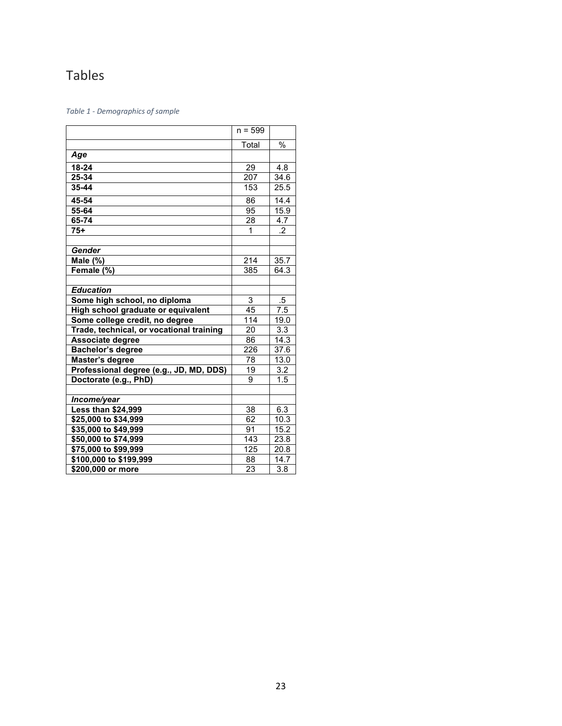# Tables

#### *Table 1 - Demographics of sample*

|                                          | $n = 599$       |                  |
|------------------------------------------|-----------------|------------------|
|                                          | Total           | $\frac{1}{2}$    |
| Age                                      |                 |                  |
| 18-24                                    | 29              | 4.8              |
| 25-34                                    | 207             | 34.6             |
| 35-44                                    | 153             | 25.5             |
| 45-54                                    | 86              | 14.4             |
| 55-64                                    | 95              | 15.9             |
| 65-74                                    | $\overline{28}$ | 4.7              |
| $75+$                                    | 1               | $\overline{.2}$  |
|                                          |                 |                  |
| Gender                                   |                 |                  |
| Male $(\%)$                              | 214             | 35.7             |
| Female (%)                               | 385             | 64.3             |
|                                          |                 |                  |
| <b>Education</b>                         |                 |                  |
| Some high school, no diploma             | 3               | .5               |
| High school graduate or equivalent       | 45              | 7.5              |
| Some college credit, no degree           | 114             | 19.0             |
| Trade, technical, or vocational training | 20              | $\overline{3.3}$ |
| Associate degree                         | 86              | 14.3             |
| <b>Bachelor's degree</b>                 | 226             | 37.6             |
| Master's degree                          | 78              | 13.0             |
| Professional degree (e.g., JD, MD, DDS)  | 19              | 3.2              |
| Doctorate (e.g., PhD)                    | 9               | 1.5              |
|                                          |                 |                  |
| Income/year                              |                 |                  |
| <b>Less than \$24,999</b>                | 38              | 6.3              |
| \$25,000 to \$34,999                     | 62              | 10.3             |
| \$35,000 to \$49,999                     | 91              | 15.2             |
| \$50,000 to \$74,999                     | 143             | 23.8             |
| \$75,000 to \$99,999                     | 125             | 20.8             |
| \$100,000 to \$199,999                   | 88              | 14.7             |
| \$200,000 or more                        | 23              | 3.8              |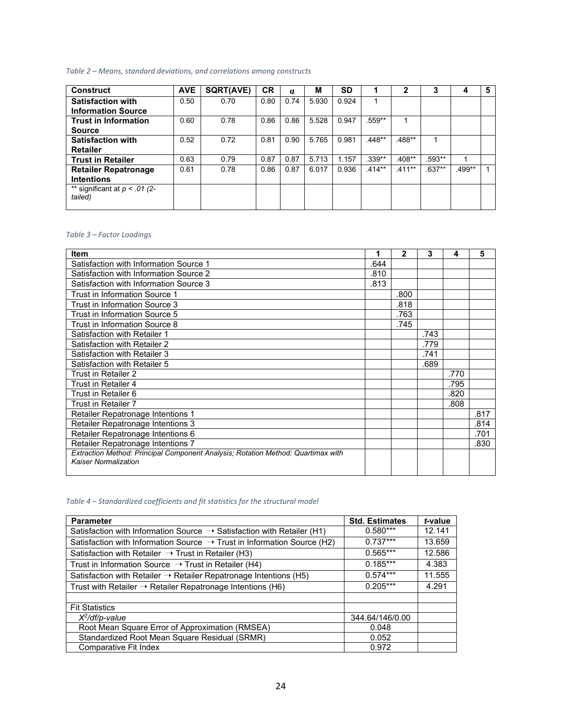#### *Table 2 – Means, standard deviations, and correlations among constructs*

| <b>Construct</b>                | <b>AVE</b> | SQRT(AVE) | CR.  | $\alpha$ | М     | <b>SD</b> |          |           | 3        |        | 5 |
|---------------------------------|------------|-----------|------|----------|-------|-----------|----------|-----------|----------|--------|---|
| <b>Satisfaction with</b>        | 0.50       | 0.70      | 0.80 | 0.74     | 5.930 | 0.924     |          |           |          |        |   |
| <b>Information Source</b>       |            |           |      |          |       |           |          |           |          |        |   |
| <b>Trust in Information</b>     | 0.60       | 0.78      | 0.86 | 0.86     | 5.528 | 0.947     | .559**   |           |          |        |   |
| <b>Source</b>                   |            |           |      |          |       |           |          |           |          |        |   |
| <b>Satisfaction with</b>        | 0.52       | 0.72      | 0.81 | 0.90     | 5.765 | 0.981     | $.448**$ | .488**    |          |        |   |
| <b>Retailer</b>                 |            |           |      |          |       |           |          |           |          |        |   |
| <b>Trust in Retailer</b>        | 0.63       | 0.79      | 0.87 | 0.87     | 5.713 | 1.157     | $.339**$ | $.408**$  | $.593**$ |        |   |
| <b>Retailer Repatronage</b>     | 0.61       | 0.78      | 0.86 | 0.87     | 6.017 | 0.936     | $.414**$ | $.411***$ | $.637**$ | .499** |   |
| <b>Intentions</b>               |            |           |      |          |       |           |          |           |          |        |   |
| ** significant at $p < .01$ (2- |            |           |      |          |       |           |          |           |          |        |   |
| tailed)                         |            |           |      |          |       |           |          |           |          |        |   |
|                                 |            |           |      |          |       |           |          |           |          |        |   |

#### *Table 3 – Factor Loadings*

| <b>Item</b>                                                                                                     | 1    | 2    | 3    | 4    | 5    |
|-----------------------------------------------------------------------------------------------------------------|------|------|------|------|------|
| Satisfaction with Information Source 1                                                                          | .644 |      |      |      |      |
| Satisfaction with Information Source 2                                                                          | .810 |      |      |      |      |
| Satisfaction with Information Source 3                                                                          | .813 |      |      |      |      |
| Trust in Information Source 1                                                                                   |      | .800 |      |      |      |
| Trust in Information Source 3                                                                                   |      | .818 |      |      |      |
| Trust in Information Source 5                                                                                   |      | .763 |      |      |      |
| Trust in Information Source 8                                                                                   |      | .745 |      |      |      |
| Satisfaction with Retailer 1                                                                                    |      |      | .743 |      |      |
| Satisfaction with Retailer 2                                                                                    |      |      | .779 |      |      |
| Satisfaction with Retailer 3                                                                                    |      |      | .741 |      |      |
| Satisfaction with Retailer 5                                                                                    |      |      | .689 |      |      |
| Trust in Retailer 2                                                                                             |      |      |      | .770 |      |
| Trust in Retailer 4                                                                                             |      |      |      | .795 |      |
| Trust in Retailer 6                                                                                             |      |      |      | .820 |      |
| Trust in Retailer 7                                                                                             |      |      |      | .808 |      |
| Retailer Repatronage Intentions 1                                                                               |      |      |      |      | .817 |
| Retailer Repatronage Intentions 3                                                                               |      |      |      |      | .814 |
| Retailer Repatronage Intentions 6                                                                               |      |      |      |      | .701 |
| Retailer Repatronage Intentions 7                                                                               |      |      |      |      | .830 |
| Extraction Method: Principal Component Analysis; Rotation Method: Quartimax with<br><b>Kaiser Normalization</b> |      |      |      |      |      |

#### *Table 4 – Standardized coefficients and fit statistics for the structural model*

| <b>Parameter</b>                                                                    | <b>Std. Estimates</b> | t-value |
|-------------------------------------------------------------------------------------|-----------------------|---------|
| Satisfaction with Information Source $\rightarrow$ Satisfaction with Retailer (H1)  | $0.580***$            | 12.141  |
| Satisfaction with Information Source $\rightarrow$ Trust in Information Source (H2) | $0.737***$            | 13.659  |
| Satisfaction with Retailer $\rightarrow$ Trust in Retailer (H3)                     | $0.565***$            | 12.586  |
| Trust in Information Source $\rightarrow$ Trust in Retailer (H4)                    | $0.185***$            | 4.383   |
| Satisfaction with Retailer $\rightarrow$ Retailer Repatronage Intentions (H5)       | $0.574***$            | 11.555  |
| Trust with Retailer $\rightarrow$ Retailer Repatronage Intentions (H6)              | $0.205***$            | 4.291   |
|                                                                                     |                       |         |
| <b>Fit Statistics</b>                                                               |                       |         |
| $X^2$ /df/p-value                                                                   | 344.64/146/0.00       |         |
| Root Mean Square Error of Approximation (RMSEA)                                     | 0.048                 |         |
| Standardized Root Mean Square Residual (SRMR)                                       | 0.052                 |         |
| Comparative Fit Index                                                               | 0.972                 |         |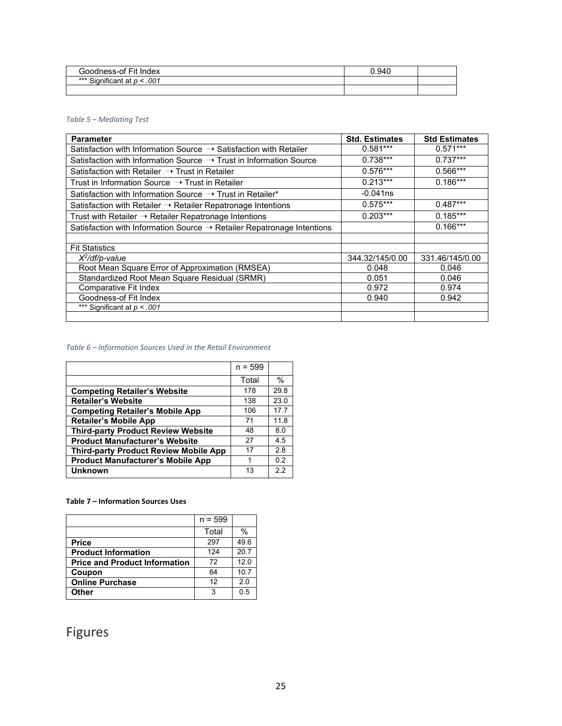| Goodness-of Fit<br>: Index     | 0.940 |  |
|--------------------------------|-------|--|
| *** Significant at p<br>001. > |       |  |
|                                |       |  |

#### *Table 5 – Mediating Test*

| <b>Parameter</b>                                                                   | <b>Std. Estimates</b> | <b>Std Estimates</b> |
|------------------------------------------------------------------------------------|-----------------------|----------------------|
| Satisfaction with Information Source $\rightarrow$ Satisfaction with Retailer      | $0.581***$            | $0.571***$           |
| Satisfaction with Information Source $\rightarrow$ Trust in Information Source     | $0.738***$            | $0.737***$           |
| Satisfaction with Retailer $\rightarrow$ Trust in Retailer                         | $0.576***$            | $0.566***$           |
| Trust in Information Source $\rightarrow$ Trust in Retailer                        | $0.213***$            | $0.186***$           |
| Satisfaction with Information Source $\rightarrow$ Trust in Retailer*              | $-0.041$ ns           |                      |
| Satisfaction with Retailer $\rightarrow$ Retailer Repatronage Intentions           | $0.575***$            | $0.487***$           |
| Trust with Retailer $\rightarrow$ Retailer Repatronage Intentions                  | $0.203***$            | $0.185***$           |
| Satisfaction with Information Source $\rightarrow$ Retailer Repatronage Intentions |                       | $0.166***$           |
|                                                                                    |                       |                      |
| <b>Fit Statistics</b>                                                              |                       |                      |
| $X^2$ /df/p-value                                                                  | 344.32/145/0.00       | 331.46/145/0.00      |
| Root Mean Square Error of Approximation (RMSEA)                                    | 0.048                 | 0.046                |
| Standardized Root Mean Square Residual (SRMR)                                      | 0.051                 | 0.046                |
| <b>Comparative Fit Index</b>                                                       | 0.972                 | 0.974                |
| Goodness-of Fit Index                                                              | 0.940                 | 0.942                |
| *** Significant at $p < .001$                                                      |                       |                      |
|                                                                                    |                       |                      |

#### *Table 6 – Information Sources Used in the Retail Environment*

|                                              | $n = 599$ |      |
|----------------------------------------------|-----------|------|
|                                              | Total     | $\%$ |
| <b>Competing Retailer's Website</b>          | 178       | 29.8 |
| <b>Retailer's Website</b>                    | 138       | 23.0 |
| <b>Competing Retailer's Mobile App</b>       | 106       | 17.7 |
| <b>Retailer's Mobile App</b>                 | 71        | 11.8 |
| <b>Third-party Product Review Website</b>    | 48        | 8.0  |
| <b>Product Manufacturer's Website</b>        | 27        | 4.5  |
| <b>Third-party Product Review Mobile App</b> | 17        | 2.8  |
| <b>Product Manufacturer's Mobile App</b>     | 1         | 0.2  |
| <b>Unknown</b>                               | 13        | 22   |

#### **Table 7 – Information Sources Uses**

|                                      | $n = 599$ |      |
|--------------------------------------|-----------|------|
|                                      | Total     | $\%$ |
| <b>Price</b>                         | 297       | 49.6 |
| <b>Product Information</b>           | 124       | 20.7 |
| <b>Price and Product Information</b> | 72        | 12.0 |
| Coupon                               | 64        | 10.7 |
| <b>Online Purchase</b>               | 12        | 2.0  |
| Other                                | 3         | 0.5  |

# Figures